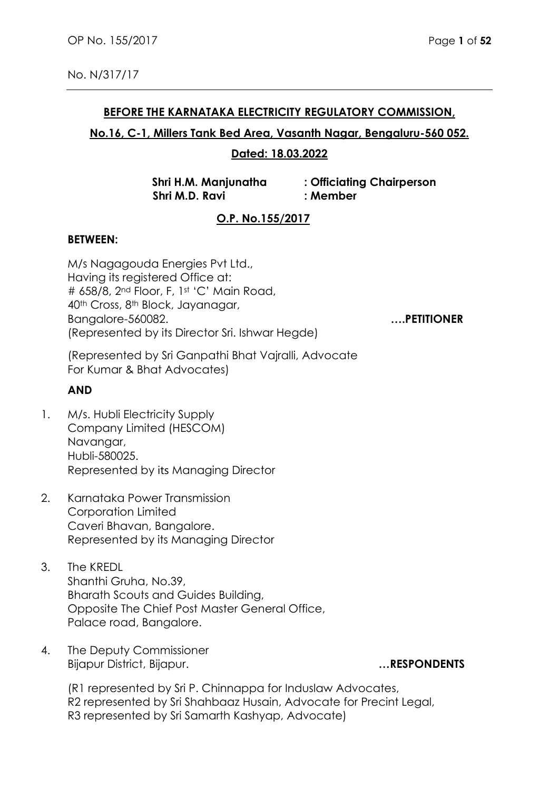## **BEFORE THE KARNATAKA ELECTRICITY REGULATORY COMMISSION,**

## **No.16, C-1, Millers Tank Bed Area, Vasanth Nagar, Bengaluru-560 052.**

## **Dated: 18.03.2022**

 **Shri M.D. Ravi : Member**

**Shri H.M. Manjunatha : Officiating Chairperson**

# **O.P. No.155/2017**

## **BETWEEN:**

M/s Nagagouda Energies Pvt Ltd., Having its registered Office at: # 658/8, 2<sup>nd</sup> Floor, F, 1st 'C' Main Road, 40th Cross, 8th Block, Jayanagar, Bangalore-560082. **….PETITIONER**  (Represented by its Director Sri. Ishwar Hegde)

(Represented by Sri Ganpathi Bhat Vajralli, Advocate For Kumar & Bhat Advocates)

## **AND**

- 1. M/s. Hubli Electricity Supply Company Limited (HESCOM) Navangar, Hubli-580025. Represented by its Managing Director
- 2. Karnataka Power Transmission Corporation Limited Caveri Bhavan, Bangalore. Represented by its Managing Director
- 3. The KREDL Shanthi Gruha, No.39, Bharath Scouts and Guides Building, Opposite The Chief Post Master General Office, Palace road, Bangalore.
- 4. The Deputy Commissioner Bijapur District, Bijapur. **…RESPONDENTS**

(R1 represented by Sri P. Chinnappa for Induslaw Advocates, R2 represented by Sri Shahbaaz Husain, Advocate for Precint Legal, R3 represented by Sri Samarth Kashyap, Advocate)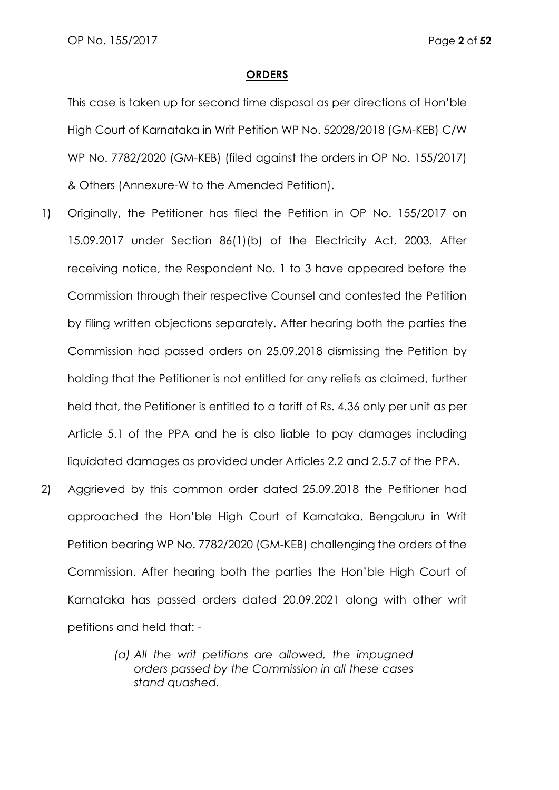#### **ORDERS**

This case is taken up for second time disposal as per directions of Hon'ble High Court of Karnataka in Writ Petition WP No. 52028/2018 (GM-KEB) C/W WP No. 7782/2020 (GM-KEB) (filed against the orders in OP No. 155/2017) & Others (Annexure-W to the Amended Petition).

- 1) Originally, the Petitioner has filed the Petition in OP No. 155/2017 on 15.09.2017 under Section 86(1)(b) of the Electricity Act, 2003. After receiving notice, the Respondent No. 1 to 3 have appeared before the Commission through their respective Counsel and contested the Petition by filing written objections separately. After hearing both the parties the Commission had passed orders on 25.09.2018 dismissing the Petition by holding that the Petitioner is not entitled for any reliefs as claimed, further held that, the Petitioner is entitled to a tariff of Rs. 4.36 only per unit as per Article 5.1 of the PPA and he is also liable to pay damages including liquidated damages as provided under Articles 2.2 and 2.5.7 of the PPA.
- 2) Aggrieved by this common order dated 25.09.2018 the Petitioner had approached the Hon'ble High Court of Karnataka, Bengaluru in Writ Petition bearing WP No. 7782/2020 (GM-KEB) challenging the orders of the Commission. After hearing both the parties the Hon'ble High Court of Karnataka has passed orders dated 20.09.2021 along with other writ petitions and held that: -
	- *(a) All the writ petitions are allowed, the impugned orders passed by the Commission in all these cases stand quashed.*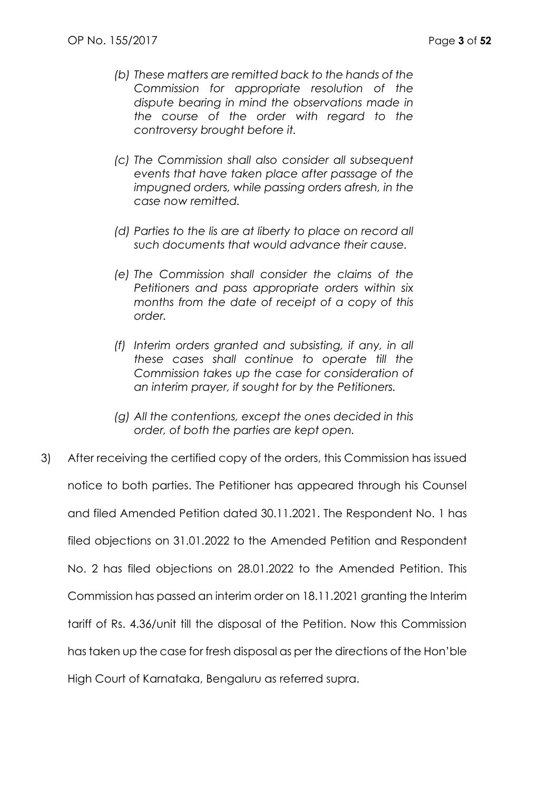- *(b) These matters are remitted back to the hands of the Commission for appropriate resolution of the dispute bearing in mind the observations made in the course of the order with regard to the controversy brought before it.*
- *(c) The Commission shall also consider all subsequent events that have taken place after passage of the impugned orders, while passing orders afresh, in the case now remitted.*
- *(d)* Parties to the lis are at liberty to place on record all *such documents that would advance their cause.*
- *(e) The Commission shall consider the claims of the Petitioners and pass appropriate orders within six months from the date of receipt of a copy of this order.*
- *(f) Interim orders granted and subsisting, if any, in all these cases shall continue to operate till the Commission takes up the case for consideration of an interim prayer, if sought for by the Petitioners.*
- *(g) All the contentions, except the ones decided in this order, of both the parties are kept open.*
- 3) After receiving the certified copy of the orders, this Commission has issued notice to both parties. The Petitioner has appeared through his Counsel and filed Amended Petition dated 30.11.2021. The Respondent No. 1 has filed objections on 31.01.2022 to the Amended Petition and Respondent No. 2 has filed objections on 28.01.2022 to the Amended Petition. This Commission has passed an interim order on 18.11.2021 granting the Interim tariff of Rs. 4.36/unit till the disposal of the Petition. Now this Commission has taken up the case for fresh disposal as per the directions of the Hon'ble High Court of Karnataka, Bengaluru as referred supra.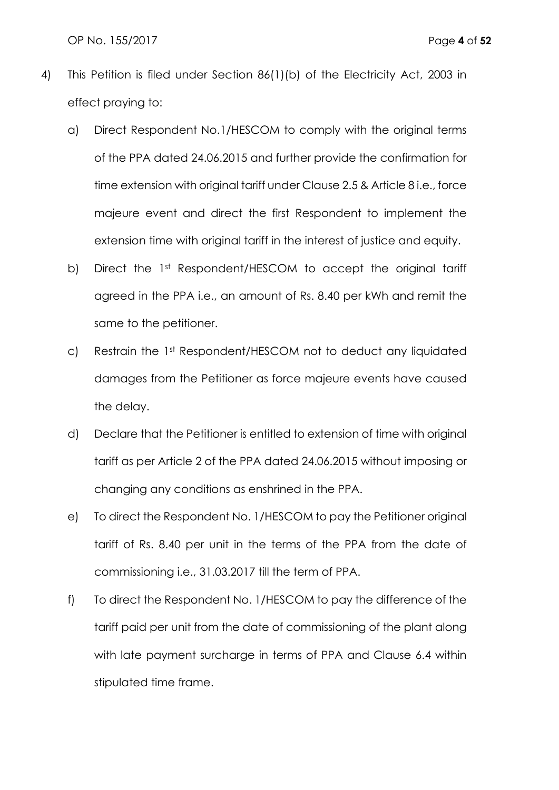OP No. 155/2017 Page **4** of **52**

- 4) This Petition is filed under Section 86(1)(b) of the Electricity Act, 2003 in effect praying to:
	- a) Direct Respondent No.1/HESCOM to comply with the original terms of the PPA dated 24.06.2015 and further provide the confirmation for time extension with original tariff under Clause 2.5 & Article 8 i.e., force majeure event and direct the first Respondent to implement the extension time with original tariff in the interest of justice and equity.
	- b) Direct the 1st Respondent/HESCOM to accept the original tariff agreed in the PPA i.e., an amount of Rs. 8.40 per kWh and remit the same to the petitioner.
	- c) Restrain the 1st Respondent/HESCOM not to deduct any liquidated damages from the Petitioner as force majeure events have caused the delay.
	- d) Declare that the Petitioner is entitled to extension of time with original tariff as per Article 2 of the PPA dated 24.06.2015 without imposing or changing any conditions as enshrined in the PPA.
	- e) To direct the Respondent No. 1/HESCOM to pay the Petitioner original tariff of Rs. 8.40 per unit in the terms of the PPA from the date of commissioning i.e., 31.03.2017 till the term of PPA.
	- f) To direct the Respondent No. 1/HESCOM to pay the difference of the tariff paid per unit from the date of commissioning of the plant along with late payment surcharge in terms of PPA and Clause 6.4 within stipulated time frame.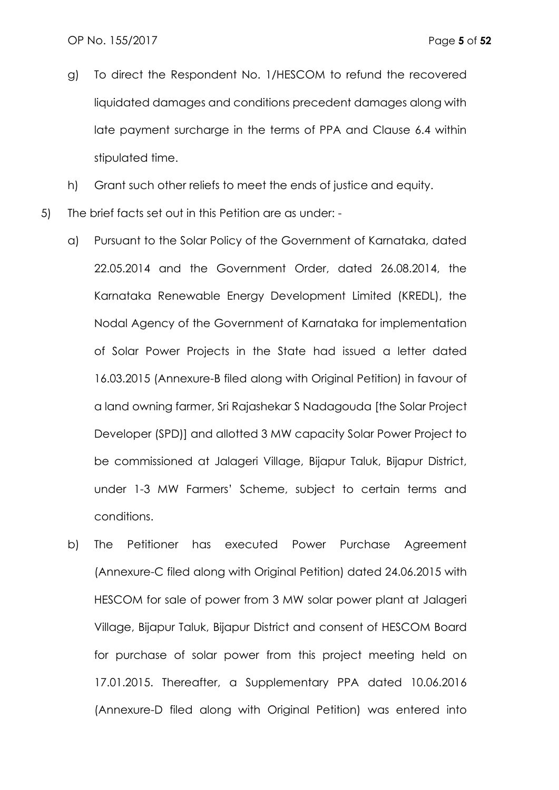- g) To direct the Respondent No. 1/HESCOM to refund the recovered liquidated damages and conditions precedent damages along with late payment surcharge in the terms of PPA and Clause 6.4 within stipulated time.
- h) Grant such other reliefs to meet the ends of justice and equity.
- 5) The brief facts set out in this Petition are as under:
	- a) Pursuant to the Solar Policy of the Government of Karnataka, dated 22.05.2014 and the Government Order, dated 26.08.2014, the Karnataka Renewable Energy Development Limited (KREDL), the Nodal Agency of the Government of Karnataka for implementation of Solar Power Projects in the State had issued a letter dated 16.03.2015 (Annexure-B filed along with Original Petition) in favour of a land owning farmer, Sri Rajashekar S Nadagouda [the Solar Project Developer (SPD)] and allotted 3 MW capacity Solar Power Project to be commissioned at Jalageri Village, Bijapur Taluk, Bijapur District, under 1-3 MW Farmers' Scheme, subject to certain terms and conditions.
	- b) The Petitioner has executed Power Purchase Agreement (Annexure-C filed along with Original Petition) dated 24.06.2015 with HESCOM for sale of power from 3 MW solar power plant at Jalageri Village, Bijapur Taluk, Bijapur District and consent of HESCOM Board for purchase of solar power from this project meeting held on 17.01.2015. Thereafter, a Supplementary PPA dated 10.06.2016 (Annexure-D filed along with Original Petition) was entered into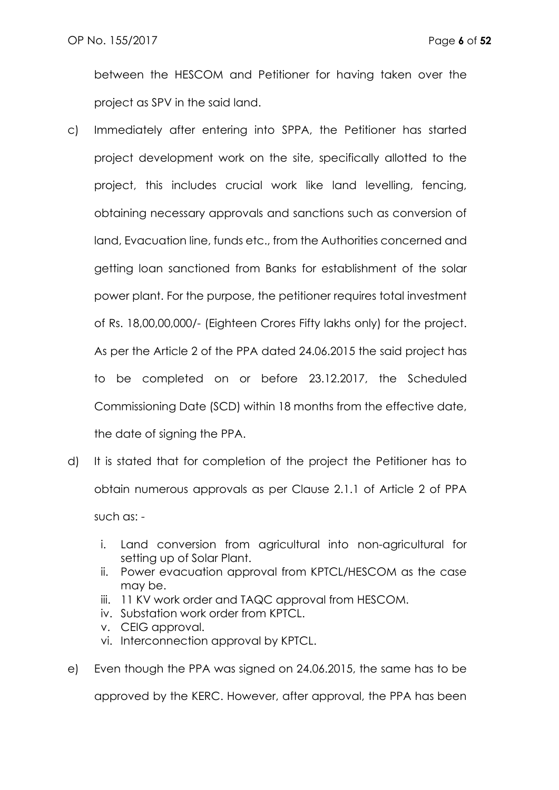between the HESCOM and Petitioner for having taken over the project as SPV in the said land.

- c) Immediately after entering into SPPA, the Petitioner has started project development work on the site, specifically allotted to the project, this includes crucial work like land levelling, fencing, obtaining necessary approvals and sanctions such as conversion of land, Evacuation line, funds etc., from the Authorities concerned and getting loan sanctioned from Banks for establishment of the solar power plant. For the purpose, the petitioner requires total investment of Rs. 18,00,00,000/- (Eighteen Crores Fifty lakhs only) for the project. As per the Article 2 of the PPA dated 24.06.2015 the said project has to be completed on or before 23.12.2017, the Scheduled Commissioning Date (SCD) within 18 months from the effective date, the date of signing the PPA.
- d) It is stated that for completion of the project the Petitioner has to obtain numerous approvals as per Clause 2.1.1 of Article 2 of PPA such as:
	- i. Land conversion from agricultural into non-agricultural for setting up of Solar Plant.
	- ii. Power evacuation approval from KPTCL/HESCOM as the case may be.
	- iii. 11 KV work order and TAQC approval from HESCOM.
	- iv. Substation work order from KPTCL.
	- v. CEIG approval.
	- vi. Interconnection approval by KPTCL.
- e) Even though the PPA was signed on 24.06.2015, the same has to be

approved by the KERC. However, after approval, the PPA has been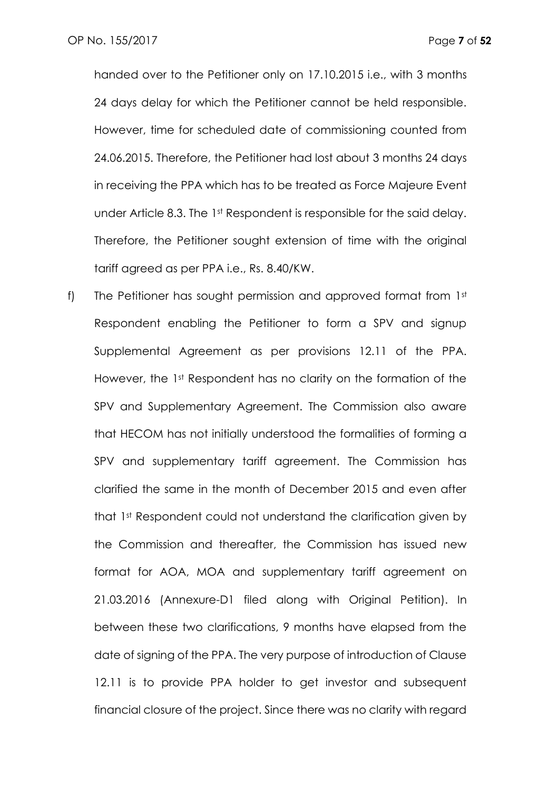handed over to the Petitioner only on 17.10.2015 i.e., with 3 months 24 days delay for which the Petitioner cannot be held responsible. However, time for scheduled date of commissioning counted from 24.06.2015. Therefore, the Petitioner had lost about 3 months 24 days in receiving the PPA which has to be treated as Force Majeure Event under Article 8.3. The 1st Respondent is responsible for the said delay. Therefore, the Petitioner sought extension of time with the original tariff agreed as per PPA i.e., Rs. 8.40/KW.

f) The Petitioner has sought permission and approved format from 1st Respondent enabling the Petitioner to form a SPV and signup Supplemental Agreement as per provisions 12.11 of the PPA. However, the 1st Respondent has no clarity on the formation of the SPV and Supplementary Agreement. The Commission also aware that HECOM has not initially understood the formalities of forming a SPV and supplementary tariff agreement. The Commission has clarified the same in the month of December 2015 and even after that 1st Respondent could not understand the clarification given by the Commission and thereafter, the Commission has issued new format for AOA, MOA and supplementary tariff agreement on 21.03.2016 (Annexure-D1 filed along with Original Petition). In between these two clarifications, 9 months have elapsed from the date of signing of the PPA. The very purpose of introduction of Clause 12.11 is to provide PPA holder to get investor and subsequent financial closure of the project. Since there was no clarity with regard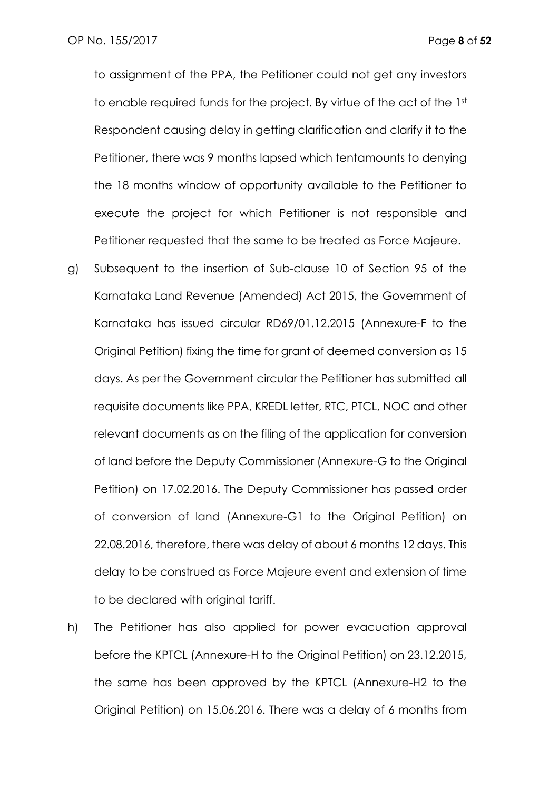to assignment of the PPA, the Petitioner could not get any investors to enable required funds for the project. By virtue of the act of the 1st Respondent causing delay in getting clarification and clarify it to the Petitioner, there was 9 months lapsed which tentamounts to denying the 18 months window of opportunity available to the Petitioner to execute the project for which Petitioner is not responsible and Petitioner requested that the same to be treated as Force Majeure.

- g) Subsequent to the insertion of Sub-clause 10 of Section 95 of the Karnataka Land Revenue (Amended) Act 2015, the Government of Karnataka has issued circular RD69/01.12.2015 (Annexure-F to the Original Petition) fixing the time for grant of deemed conversion as 15 days. As per the Government circular the Petitioner has submitted all requisite documents like PPA, KREDL letter, RTC, PTCL, NOC and other relevant documents as on the filing of the application for conversion of land before the Deputy Commissioner (Annexure-G to the Original Petition) on 17.02.2016. The Deputy Commissioner has passed order of conversion of land (Annexure-G1 to the Original Petition) on 22.08.2016, therefore, there was delay of about 6 months 12 days. This delay to be construed as Force Majeure event and extension of time to be declared with original tariff.
- h) The Petitioner has also applied for power evacuation approval before the KPTCL (Annexure-H to the Original Petition) on 23.12.2015, the same has been approved by the KPTCL (Annexure-H2 to the Original Petition) on 15.06.2016. There was a delay of 6 months from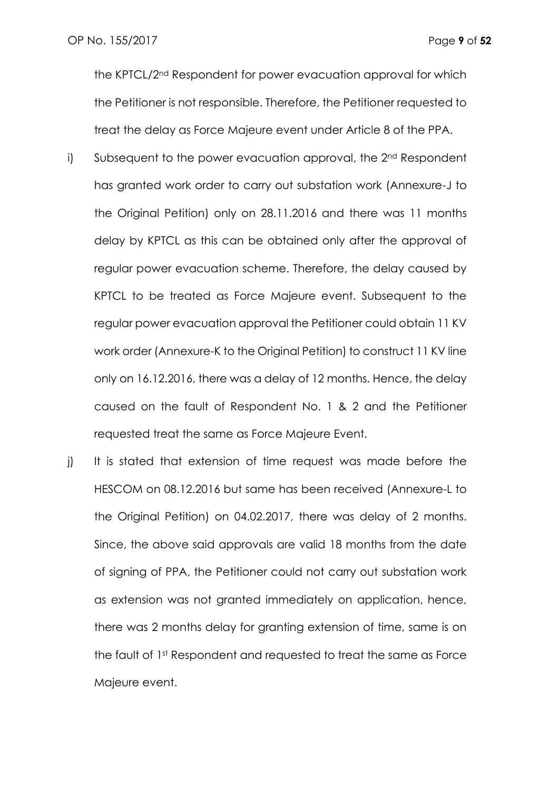the KPTCL/2nd Respondent for power evacuation approval for which the Petitioner is not responsible. Therefore, the Petitioner requested to treat the delay as Force Majeure event under Article 8 of the PPA.

- i) Subsequent to the power evacuation approval, the 2<sup>nd</sup> Respondent has granted work order to carry out substation work (Annexure-J to the Original Petition) only on 28.11.2016 and there was 11 months delay by KPTCL as this can be obtained only after the approval of regular power evacuation scheme. Therefore, the delay caused by KPTCL to be treated as Force Majeure event. Subsequent to the regular power evacuation approval the Petitioner could obtain 11 KV work order (Annexure-K to the Original Petition) to construct 11 KV line only on 16.12.2016, there was a delay of 12 months. Hence, the delay caused on the fault of Respondent No. 1 & 2 and the Petitioner requested treat the same as Force Majeure Event.
- j) It is stated that extension of time request was made before the HESCOM on 08.12.2016 but same has been received (Annexure-L to the Original Petition) on 04.02.2017, there was delay of 2 months. Since, the above said approvals are valid 18 months from the date of signing of PPA, the Petitioner could not carry out substation work as extension was not granted immediately on application, hence, there was 2 months delay for granting extension of time, same is on the fault of 1st Respondent and requested to treat the same as Force Majeure event.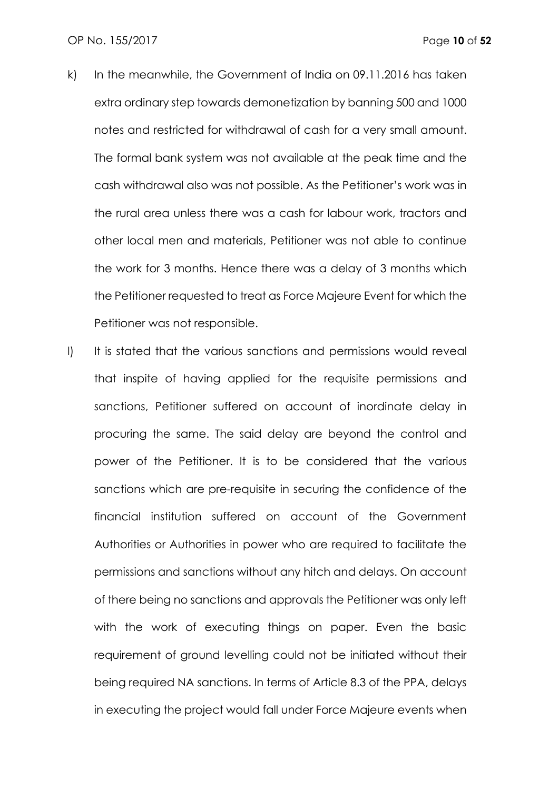- k) In the meanwhile, the Government of India on 09.11.2016 has taken extra ordinary step towards demonetization by banning 500 and 1000 notes and restricted for withdrawal of cash for a very small amount. The formal bank system was not available at the peak time and the cash withdrawal also was not possible. As the Petitioner's work was in the rural area unless there was a cash for labour work, tractors and other local men and materials, Petitioner was not able to continue the work for 3 months. Hence there was a delay of 3 months which the Petitioner requested to treat as Force Majeure Event for which the Petitioner was not responsible.
- I) It is stated that the various sanctions and permissions would reveal that inspite of having applied for the requisite permissions and sanctions, Petitioner suffered on account of inordinate delay in procuring the same. The said delay are beyond the control and power of the Petitioner. It is to be considered that the various sanctions which are pre-requisite in securing the confidence of the financial institution suffered on account of the Government Authorities or Authorities in power who are required to facilitate the permissions and sanctions without any hitch and delays. On account of there being no sanctions and approvals the Petitioner was only left with the work of executing things on paper. Even the basic requirement of ground levelling could not be initiated without their being required NA sanctions. In terms of Article 8.3 of the PPA, delays in executing the project would fall under Force Majeure events when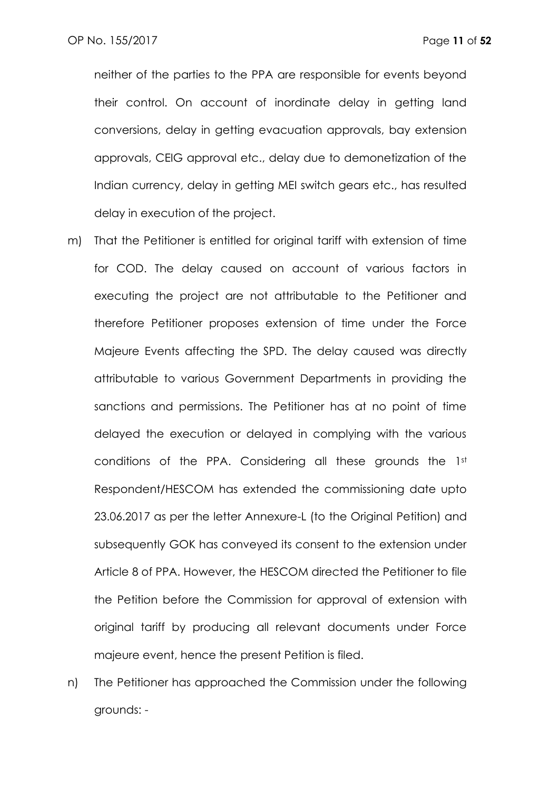neither of the parties to the PPA are responsible for events beyond their control. On account of inordinate delay in getting land conversions, delay in getting evacuation approvals, bay extension approvals, CEIG approval etc., delay due to demonetization of the Indian currency, delay in getting MEI switch gears etc., has resulted delay in execution of the project.

- m) That the Petitioner is entitled for original tariff with extension of time for COD. The delay caused on account of various factors in executing the project are not attributable to the Petitioner and therefore Petitioner proposes extension of time under the Force Majeure Events affecting the SPD. The delay caused was directly attributable to various Government Departments in providing the sanctions and permissions. The Petitioner has at no point of time delayed the execution or delayed in complying with the various conditions of the PPA. Considering all these grounds the 1st Respondent/HESCOM has extended the commissioning date upto 23.06.2017 as per the letter Annexure-L (to the Original Petition) and subsequently GOK has conveyed its consent to the extension under Article 8 of PPA. However, the HESCOM directed the Petitioner to file the Petition before the Commission for approval of extension with original tariff by producing all relevant documents under Force majeure event, hence the present Petition is filed.
- n) The Petitioner has approached the Commission under the following grounds: -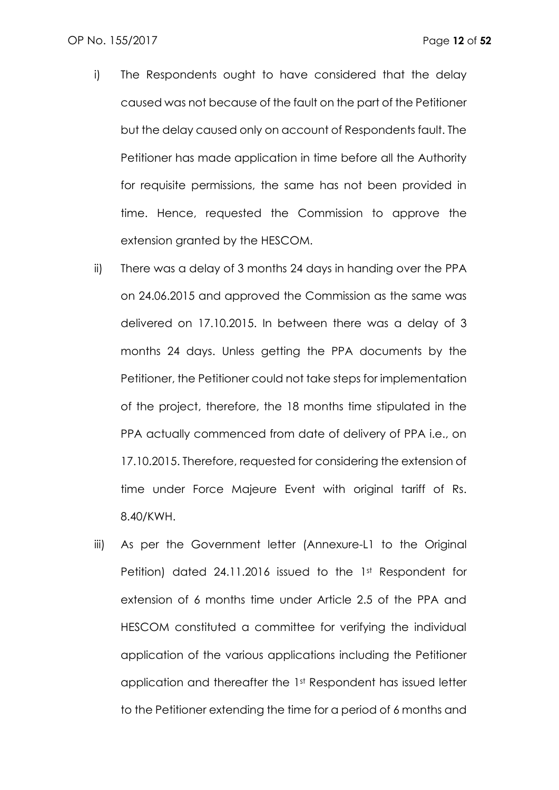- i) The Respondents ought to have considered that the delay caused was not because of the fault on the part of the Petitioner but the delay caused only on account of Respondents fault. The Petitioner has made application in time before all the Authority for requisite permissions, the same has not been provided in time. Hence, requested the Commission to approve the extension granted by the HESCOM.
- ii) There was a delay of 3 months 24 days in handing over the PPA on 24.06.2015 and approved the Commission as the same was delivered on 17.10.2015. In between there was a delay of 3 months 24 days. Unless getting the PPA documents by the Petitioner, the Petitioner could not take steps for implementation of the project, therefore, the 18 months time stipulated in the PPA actually commenced from date of delivery of PPA i.e., on 17.10.2015. Therefore, requested for considering the extension of time under Force Majeure Event with original tariff of Rs. 8.40/KWH.
- iii) As per the Government letter (Annexure-L1 to the Original Petition) dated 24.11.2016 issued to the 1st Respondent for extension of 6 months time under Article 2.5 of the PPA and HESCOM constituted a committee for verifying the individual application of the various applications including the Petitioner application and thereafter the 1st Respondent has issued letter to the Petitioner extending the time for a period of 6 months and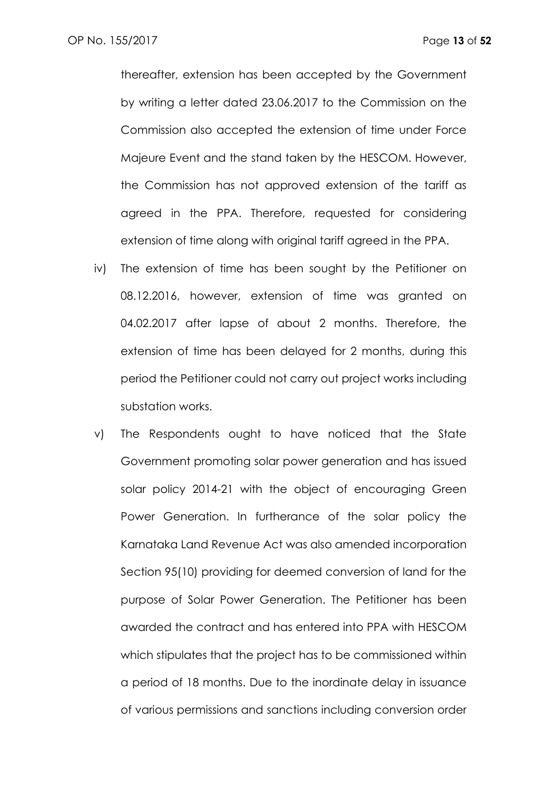thereafter, extension has been accepted by the Government by writing a letter dated 23.06.2017 to the Commission on the Commission also accepted the extension of time under Force Majeure Event and the stand taken by the HESCOM. However, the Commission has not approved extension of the tariff as agreed in the PPA. Therefore, requested for considering extension of time along with original tariff agreed in the PPA.

- iv) The extension of time has been sought by the Petitioner on 08.12.2016, however, extension of time was granted on 04.02.2017 after lapse of about 2 months. Therefore, the extension of time has been delayed for 2 months, during this period the Petitioner could not carry out project works including substation works.
- v) The Respondents ought to have noticed that the State Government promoting solar power generation and has issued solar policy 2014-21 with the object of encouraging Green Power Generation. In furtherance of the solar policy the Karnataka Land Revenue Act was also amended incorporation Section 95(10) providing for deemed conversion of land for the purpose of Solar Power Generation. The Petitioner has been awarded the contract and has entered into PPA with HESCOM which stipulates that the project has to be commissioned within a period of 18 months. Due to the inordinate delay in issuance of various permissions and sanctions including conversion order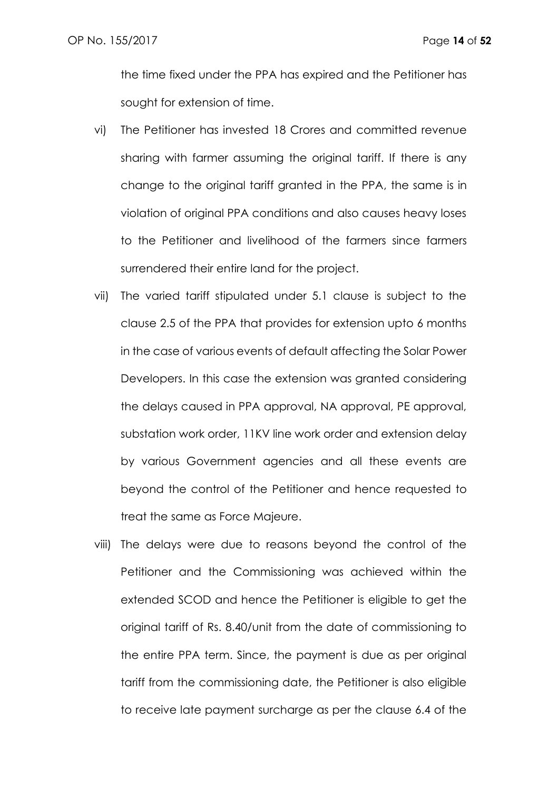the time fixed under the PPA has expired and the Petitioner has sought for extension of time.

- vi) The Petitioner has invested 18 Crores and committed revenue sharing with farmer assuming the original tariff. If there is any change to the original tariff granted in the PPA, the same is in violation of original PPA conditions and also causes heavy loses to the Petitioner and livelihood of the farmers since farmers surrendered their entire land for the project.
- vii) The varied tariff stipulated under 5.1 clause is subject to the clause 2.5 of the PPA that provides for extension upto 6 months in the case of various events of default affecting the Solar Power Developers. In this case the extension was granted considering the delays caused in PPA approval, NA approval, PE approval, substation work order, 11KV line work order and extension delay by various Government agencies and all these events are beyond the control of the Petitioner and hence requested to treat the same as Force Majeure.
- viii) The delays were due to reasons beyond the control of the Petitioner and the Commissioning was achieved within the extended SCOD and hence the Petitioner is eligible to get the original tariff of Rs. 8.40/unit from the date of commissioning to the entire PPA term. Since, the payment is due as per original tariff from the commissioning date, the Petitioner is also eligible to receive late payment surcharge as per the clause 6.4 of the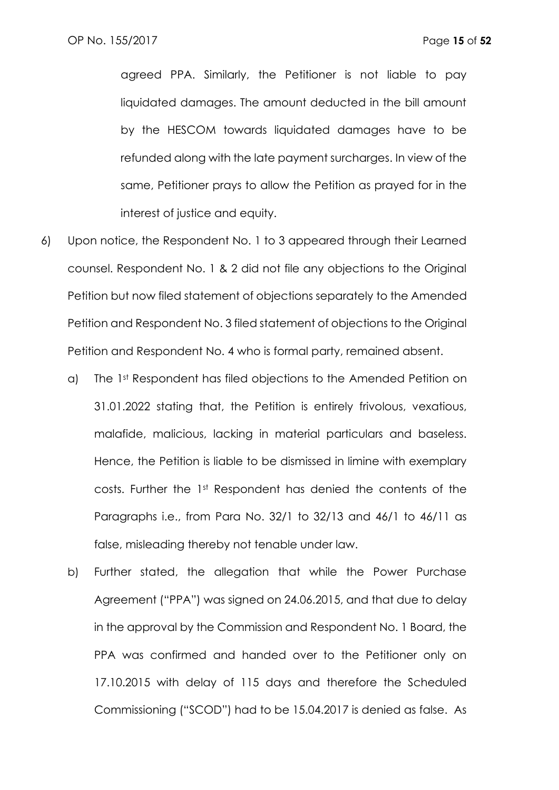agreed PPA. Similarly, the Petitioner is not liable to pay liquidated damages. The amount deducted in the bill amount by the HESCOM towards liquidated damages have to be refunded along with the late payment surcharges. In view of the same, Petitioner prays to allow the Petition as prayed for in the interest of justice and equity.

- 6) Upon notice, the Respondent No. 1 to 3 appeared through their Learned counsel. Respondent No. 1 & 2 did not file any objections to the Original Petition but now filed statement of objections separately to the Amended Petition and Respondent No. 3 filed statement of objections to the Original Petition and Respondent No. 4 who is formal party, remained absent.
	- a) The 1st Respondent has filed objections to the Amended Petition on 31.01.2022 stating that, the Petition is entirely frivolous, vexatious, malafide, malicious, lacking in material particulars and baseless. Hence, the Petition is liable to be dismissed in limine with exemplary costs. Further the 1st Respondent has denied the contents of the Paragraphs i.e., from Para No. 32/1 to 32/13 and 46/1 to 46/11 as false, misleading thereby not tenable under law.
	- b) Further stated, the allegation that while the Power Purchase Agreement ("PPA") was signed on 24.06.2015, and that due to delay in the approval by the Commission and Respondent No. 1 Board, the PPA was confirmed and handed over to the Petitioner only on 17.10.2015 with delay of 115 days and therefore the Scheduled Commissioning ("SCOD") had to be 15.04.2017 is denied as false. As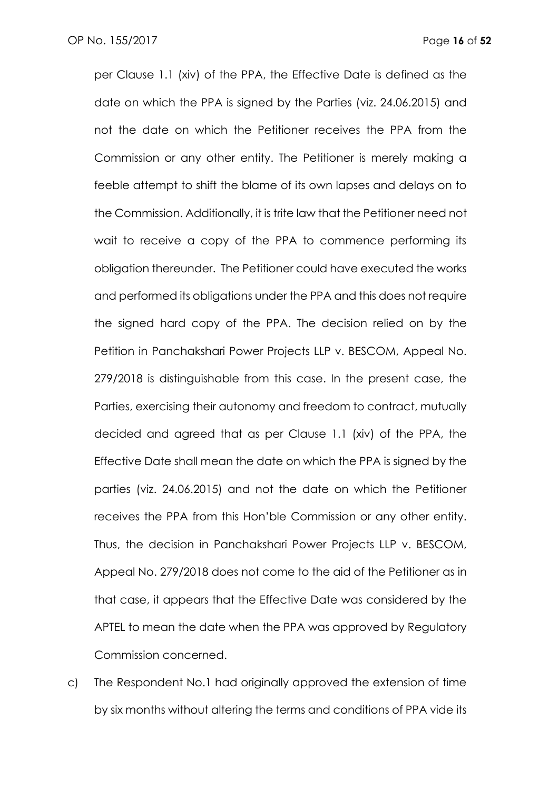per Clause 1.1 (xiv) of the PPA, the Effective Date is defined as the date on which the PPA is signed by the Parties (viz. 24.06.2015) and not the date on which the Petitioner receives the PPA from the Commission or any other entity. The Petitioner is merely making a feeble attempt to shift the blame of its own lapses and delays on to the Commission. Additionally, it is trite law that the Petitioner need not wait to receive a copy of the PPA to commence performing its obligation thereunder. The Petitioner could have executed the works and performed its obligations under the PPA and this does not require the signed hard copy of the PPA. The decision relied on by the Petition in Panchakshari Power Projects LLP v. BESCOM, Appeal No. 279/2018 is distinguishable from this case. In the present case, the Parties, exercising their autonomy and freedom to contract, mutually decided and agreed that as per Clause 1.1 (xiv) of the PPA, the Effective Date shall mean the date on which the PPA is signed by the parties (viz. 24.06.2015) and not the date on which the Petitioner receives the PPA from this Hon'ble Commission or any other entity. Thus, the decision in Panchakshari Power Projects LLP v. BESCOM, Appeal No. 279/2018 does not come to the aid of the Petitioner as in that case, it appears that the Effective Date was considered by the APTEL to mean the date when the PPA was approved by Regulatory Commission concerned.

c) The Respondent No.1 had originally approved the extension of time by six months without altering the terms and conditions of PPA vide its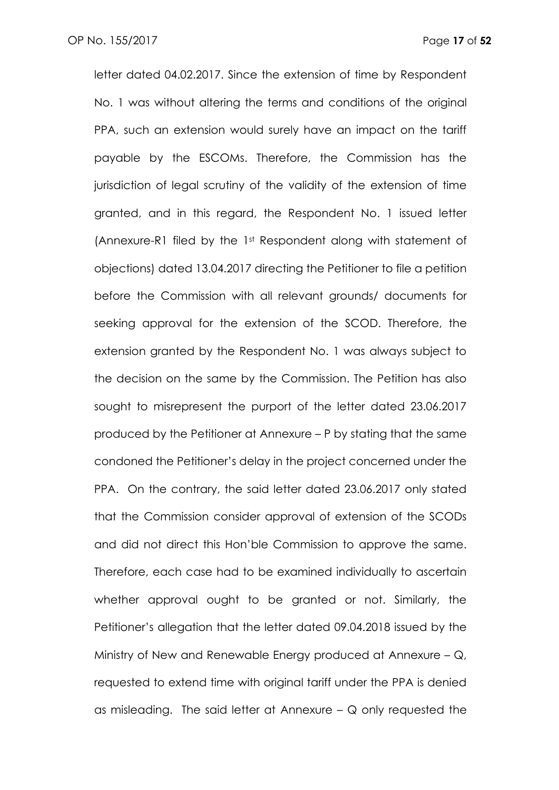letter dated 04.02.2017. Since the extension of time by Respondent No. 1 was without altering the terms and conditions of the original PPA, such an extension would surely have an impact on the tariff payable by the ESCOMs. Therefore, the Commission has the jurisdiction of legal scrutiny of the validity of the extension of time granted, and in this regard, the Respondent No. 1 issued letter (Annexure-R1 filed by the 1st Respondent along with statement of objections) dated 13.04.2017 directing the Petitioner to file a petition before the Commission with all relevant grounds/ documents for seeking approval for the extension of the SCOD. Therefore, the extension granted by the Respondent No. 1 was always subject to the decision on the same by the Commission. The Petition has also sought to misrepresent the purport of the letter dated 23.06.2017 produced by the Petitioner at Annexure – P by stating that the same condoned the Petitioner's delay in the project concerned under the PPA. On the contrary, the said letter dated 23.06.2017 only stated that the Commission consider approval of extension of the SCODs and did not direct this Hon'ble Commission to approve the same. Therefore, each case had to be examined individually to ascertain whether approval ought to be granted or not. Similarly, the Petitioner's allegation that the letter dated 09.04.2018 issued by the Ministry of New and Renewable Energy produced at Annexure – Q, requested to extend time with original tariff under the PPA is denied as misleading. The said letter at Annexure – Q only requested the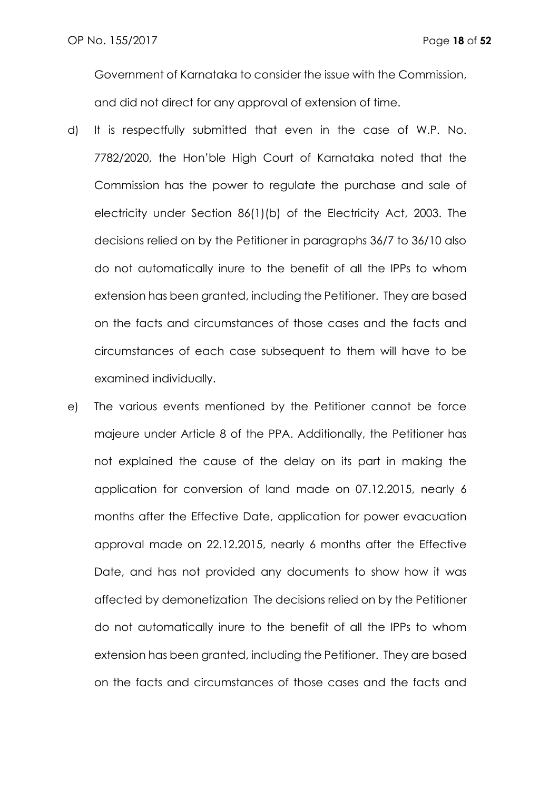Government of Karnataka to consider the issue with the Commission, and did not direct for any approval of extension of time.

- d) It is respectfully submitted that even in the case of W.P. No. 7782/2020, the Hon'ble High Court of Karnataka noted that the Commission has the power to regulate the purchase and sale of electricity under Section 86(1)(b) of the Electricity Act, 2003. The decisions relied on by the Petitioner in paragraphs 36/7 to 36/10 also do not automatically inure to the benefit of all the IPPs to whom extension has been granted, including the Petitioner. They are based on the facts and circumstances of those cases and the facts and circumstances of each case subsequent to them will have to be examined individually.
- e) The various events mentioned by the Petitioner cannot be force majeure under Article 8 of the PPA. Additionally, the Petitioner has not explained the cause of the delay on its part in making the application for conversion of land made on 07.12.2015, nearly 6 months after the Effective Date, application for power evacuation approval made on 22.12.2015, nearly 6 months after the Effective Date, and has not provided any documents to show how it was affected by demonetization The decisions relied on by the Petitioner do not automatically inure to the benefit of all the IPPs to whom extension has been granted, including the Petitioner. They are based on the facts and circumstances of those cases and the facts and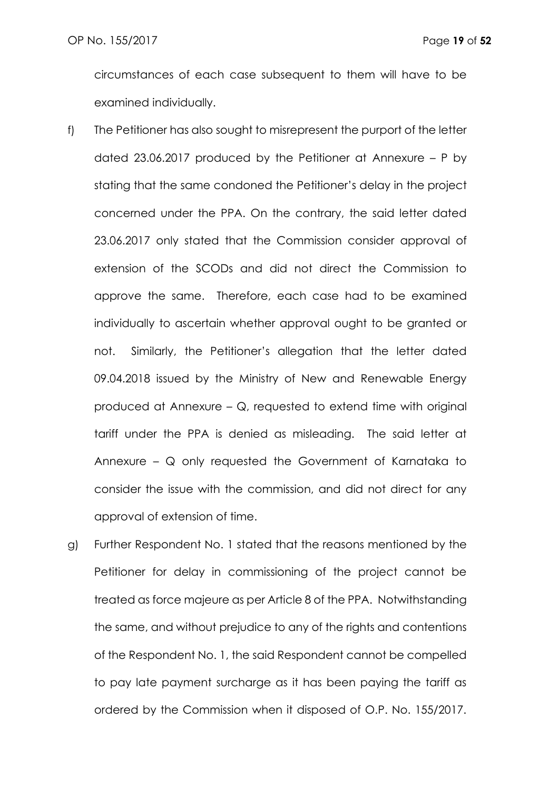circumstances of each case subsequent to them will have to be examined individually.

- f) The Petitioner has also sought to misrepresent the purport of the letter dated 23.06.2017 produced by the Petitioner at Annexure – P by stating that the same condoned the Petitioner's delay in the project concerned under the PPA. On the contrary, the said letter dated 23.06.2017 only stated that the Commission consider approval of extension of the SCODs and did not direct the Commission to approve the same. Therefore, each case had to be examined individually to ascertain whether approval ought to be granted or not. Similarly, the Petitioner's allegation that the letter dated 09.04.2018 issued by the Ministry of New and Renewable Energy produced at Annexure – Q, requested to extend time with original tariff under the PPA is denied as misleading. The said letter at Annexure – Q only requested the Government of Karnataka to consider the issue with the commission, and did not direct for any approval of extension of time.
- g) Further Respondent No. 1 stated that the reasons mentioned by the Petitioner for delay in commissioning of the project cannot be treated as force majeure as per Article 8 of the PPA. Notwithstanding the same, and without prejudice to any of the rights and contentions of the Respondent No. 1, the said Respondent cannot be compelled to pay late payment surcharge as it has been paying the tariff as ordered by the Commission when it disposed of O.P. No. 155/2017.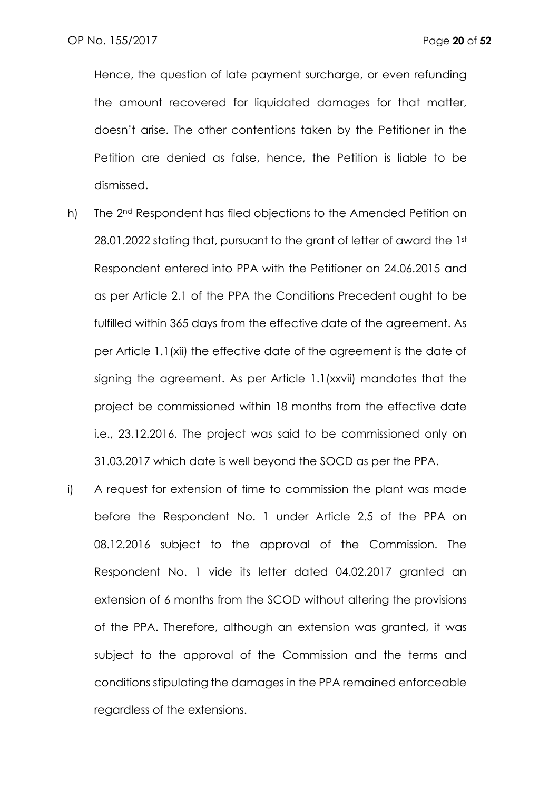Hence, the question of late payment surcharge, or even refunding the amount recovered for liquidated damages for that matter, doesn't arise. The other contentions taken by the Petitioner in the Petition are denied as false, hence, the Petition is liable to be dismissed.

- h) The 2<sup>nd</sup> Respondent has filed objections to the Amended Petition on 28.01.2022 stating that, pursuant to the grant of letter of award the 1st Respondent entered into PPA with the Petitioner on 24.06.2015 and as per Article 2.1 of the PPA the Conditions Precedent ought to be fulfilled within 365 days from the effective date of the agreement. As per Article 1.1(xii) the effective date of the agreement is the date of signing the agreement. As per Article 1.1(xxvii) mandates that the project be commissioned within 18 months from the effective date i.e., 23.12.2016. The project was said to be commissioned only on 31.03.2017 which date is well beyond the SOCD as per the PPA.
- i) A request for extension of time to commission the plant was made before the Respondent No. 1 under Article 2.5 of the PPA on 08.12.2016 subject to the approval of the Commission. The Respondent No. 1 vide its letter dated 04.02.2017 granted an extension of 6 months from the SCOD without altering the provisions of the PPA. Therefore, although an extension was granted, it was subject to the approval of the Commission and the terms and conditions stipulating the damages in the PPA remained enforceable regardless of the extensions.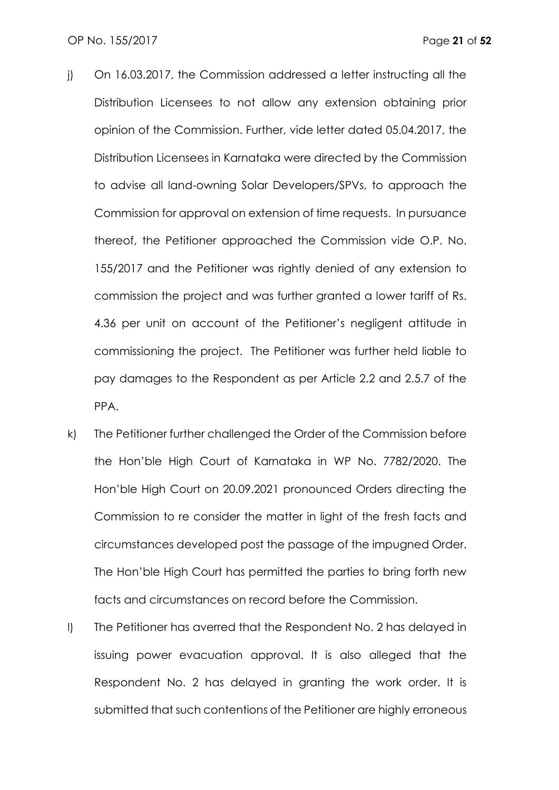- j) On 16.03.2017, the Commission addressed a letter instructing all the Distribution Licensees to not allow any extension obtaining prior opinion of the Commission. Further, vide letter dated 05.04.2017, the Distribution Licensees in Karnataka were directed by the Commission to advise all land-owning Solar Developers/SPVs, to approach the Commission for approval on extension of time requests. In pursuance thereof, the Petitioner approached the Commission vide O.P. No. 155/2017 and the Petitioner was rightly denied of any extension to commission the project and was further granted a lower tariff of Rs. 4.36 per unit on account of the Petitioner's negligent attitude in commissioning the project. The Petitioner was further held liable to pay damages to the Respondent as per Article 2.2 and 2.5.7 of the PPA.
- k) The Petitioner further challenged the Order of the Commission before the Hon'ble High Court of Karnataka in WP No. 7782/2020. The Hon'ble High Court on 20.09.2021 pronounced Orders directing the Commission to re consider the matter in light of the fresh facts and circumstances developed post the passage of the impugned Order. The Hon'ble High Court has permitted the parties to bring forth new facts and circumstances on record before the Commission.
- l) The Petitioner has averred that the Respondent No. 2 has delayed in issuing power evacuation approval. It is also alleged that the Respondent No. 2 has delayed in granting the work order. It is submitted that such contentions of the Petitioner are highly erroneous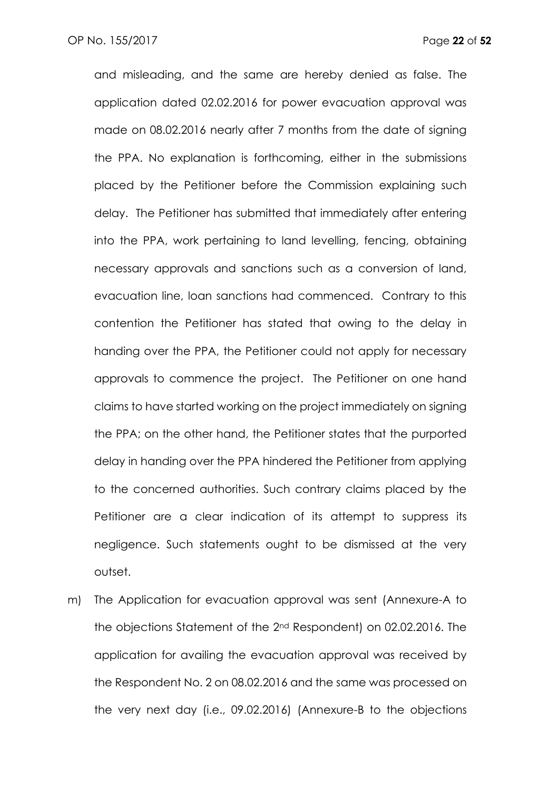and misleading, and the same are hereby denied as false. The application dated 02.02.2016 for power evacuation approval was made on 08.02.2016 nearly after 7 months from the date of signing the PPA. No explanation is forthcoming, either in the submissions placed by the Petitioner before the Commission explaining such delay. The Petitioner has submitted that immediately after entering into the PPA, work pertaining to land levelling, fencing, obtaining necessary approvals and sanctions such as a conversion of land, evacuation line, loan sanctions had commenced. Contrary to this contention the Petitioner has stated that owing to the delay in handing over the PPA, the Petitioner could not apply for necessary approvals to commence the project. The Petitioner on one hand claims to have started working on the project immediately on signing the PPA; on the other hand, the Petitioner states that the purported delay in handing over the PPA hindered the Petitioner from applying to the concerned authorities. Such contrary claims placed by the Petitioner are a clear indication of its attempt to suppress its negligence. Such statements ought to be dismissed at the very outset.

m) The Application for evacuation approval was sent (Annexure-A to the objections Statement of the 2nd Respondent) on 02.02.2016. The application for availing the evacuation approval was received by the Respondent No. 2 on 08.02.2016 and the same was processed on the very next day (i.e., 09.02.2016) (Annexure-B to the objections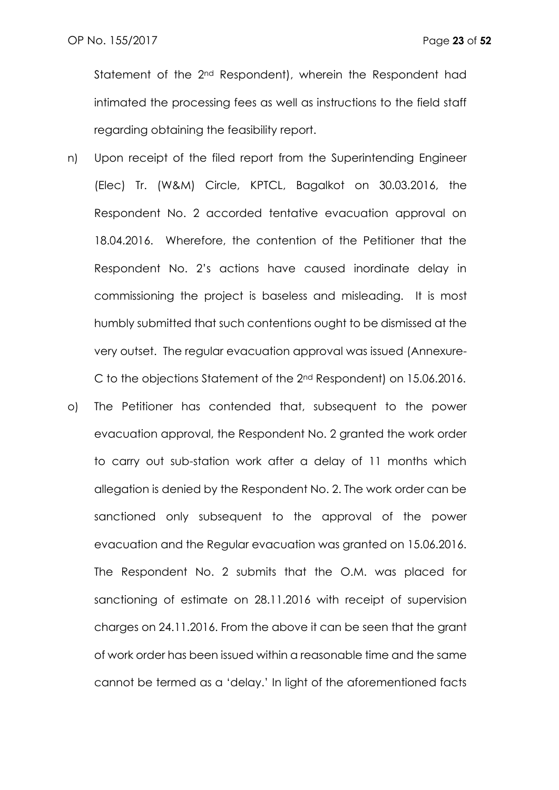Statement of the 2<sup>nd</sup> Respondent), wherein the Respondent had intimated the processing fees as well as instructions to the field staff regarding obtaining the feasibility report.

- n) Upon receipt of the filed report from the Superintending Engineer (Elec) Tr. (W&M) Circle, KPTCL, Bagalkot on 30.03.2016, the Respondent No. 2 accorded tentative evacuation approval on 18.04.2016. Wherefore, the contention of the Petitioner that the Respondent No. 2's actions have caused inordinate delay in commissioning the project is baseless and misleading. It is most humbly submitted that such contentions ought to be dismissed at the very outset. The regular evacuation approval was issued (Annexure-C to the objections Statement of the 2nd Respondent) on 15.06.2016.
- o) The Petitioner has contended that, subsequent to the power evacuation approval, the Respondent No. 2 granted the work order to carry out sub-station work after a delay of 11 months which allegation is denied by the Respondent No. 2. The work order can be sanctioned only subsequent to the approval of the power evacuation and the Regular evacuation was granted on 15.06.2016. The Respondent No. 2 submits that the O.M. was placed for sanctioning of estimate on 28.11.2016 with receipt of supervision charges on 24.11.2016. From the above it can be seen that the grant of work order has been issued within a reasonable time and the same cannot be termed as a 'delay.' In light of the aforementioned facts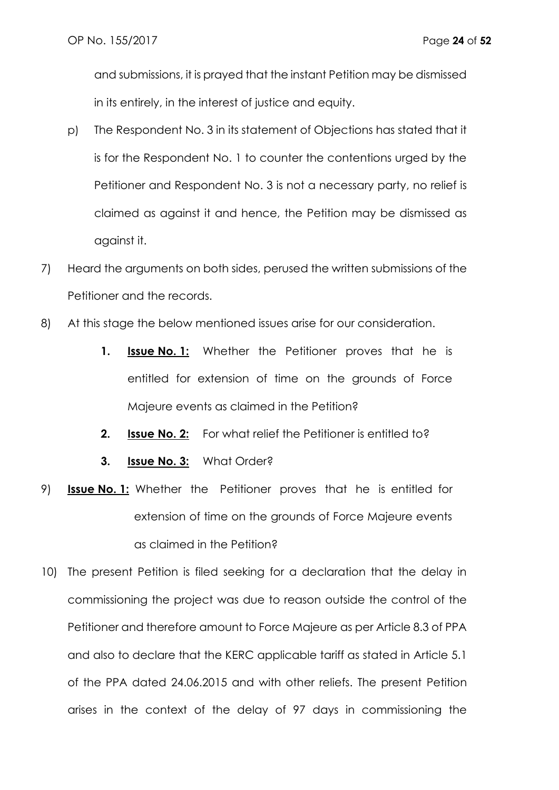and submissions, it is prayed that the instant Petition may be dismissed in its entirely, in the interest of justice and equity.

- p) The Respondent No. 3 in its statement of Objections has stated that it is for the Respondent No. 1 to counter the contentions urged by the Petitioner and Respondent No. 3 is not a necessary party, no relief is claimed as against it and hence, the Petition may be dismissed as against it.
- 7) Heard the arguments on both sides, perused the written submissions of the Petitioner and the records.
- 8) At this stage the below mentioned issues arise for our consideration.
	- **1. Issue No. 1:** Whether the Petitioner proves that he is entitled for extension of time on the grounds of Force Majeure events as claimed in the Petition?
	- **2. Issue No. 2:** For what relief the Petitioner is entitled to?
	- **3. Issue No. 3:** What Order?
- 9) **Issue No. 1:** Whether the Petitioner proves that he is entitled for extension of time on the grounds of Force Majeure events as claimed in the Petition?
- 10) The present Petition is filed seeking for a declaration that the delay in commissioning the project was due to reason outside the control of the Petitioner and therefore amount to Force Majeure as per Article 8.3 of PPA and also to declare that the KERC applicable tariff as stated in Article 5.1 of the PPA dated 24.06.2015 and with other reliefs. The present Petition arises in the context of the delay of 97 days in commissioning the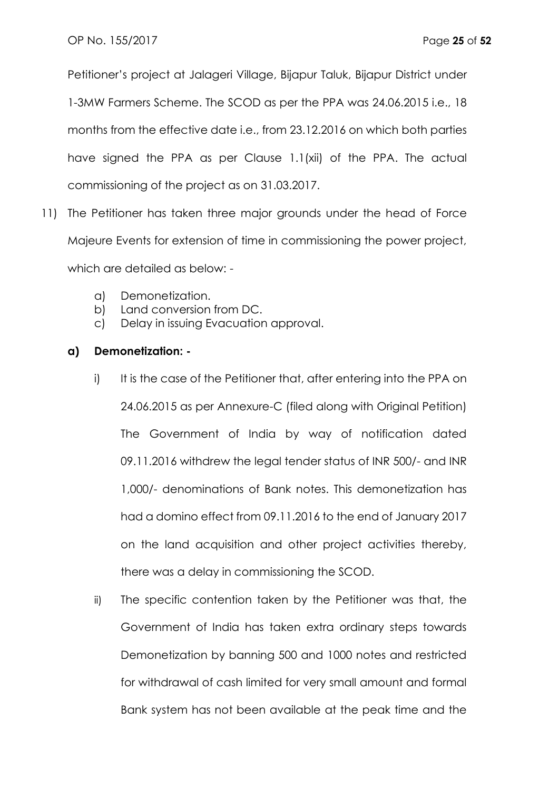Petitioner's project at Jalageri Village, Bijapur Taluk, Bijapur District under 1-3MW Farmers Scheme. The SCOD as per the PPA was 24.06.2015 i.e., 18 months from the effective date i.e., from 23.12.2016 on which both parties have signed the PPA as per Clause 1.1(xii) of the PPA. The actual commissioning of the project as on 31.03.2017.

- 11) The Petitioner has taken three major grounds under the head of Force Majeure Events for extension of time in commissioning the power project, which are detailed as below:
	- a) Demonetization.
	- b) Land conversion from DC.
	- c) Delay in issuing Evacuation approval.

# **a) Demonetization: -**

- i) It is the case of the Petitioner that, after entering into the PPA on 24.06.2015 as per Annexure-C (filed along with Original Petition) The Government of India by way of notification dated 09.11.2016 withdrew the legal tender status of INR 500/- and INR 1,000/- denominations of Bank notes. This demonetization has had a domino effect from 09.11.2016 to the end of January 2017 on the land acquisition and other project activities thereby, there was a delay in commissioning the SCOD.
- ii) The specific contention taken by the Petitioner was that, the Government of India has taken extra ordinary steps towards Demonetization by banning 500 and 1000 notes and restricted for withdrawal of cash limited for very small amount and formal Bank system has not been available at the peak time and the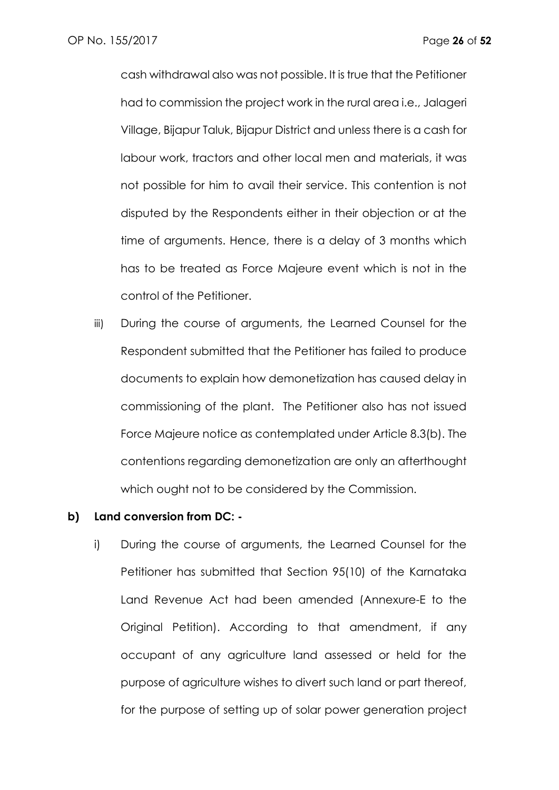cash withdrawal also was not possible. It is true that the Petitioner had to commission the project work in the rural area i.e., Jalageri Village, Bijapur Taluk, Bijapur District and unless there is a cash for labour work, tractors and other local men and materials, it was not possible for him to avail their service. This contention is not disputed by the Respondents either in their objection or at the time of arguments. Hence, there is a delay of 3 months which has to be treated as Force Majeure event which is not in the control of the Petitioner.

iii) During the course of arguments, the Learned Counsel for the Respondent submitted that the Petitioner has failed to produce documents to explain how demonetization has caused delay in commissioning of the plant. The Petitioner also has not issued Force Majeure notice as contemplated under Article 8.3(b). The contentions regarding demonetization are only an afterthought which ought not to be considered by the Commission.

#### **b) Land conversion from DC: -**

i) During the course of arguments, the Learned Counsel for the Petitioner has submitted that Section 95(10) of the Karnataka Land Revenue Act had been amended (Annexure-E to the Original Petition). According to that amendment, if any occupant of any agriculture land assessed or held for the purpose of agriculture wishes to divert such land or part thereof, for the purpose of setting up of solar power generation project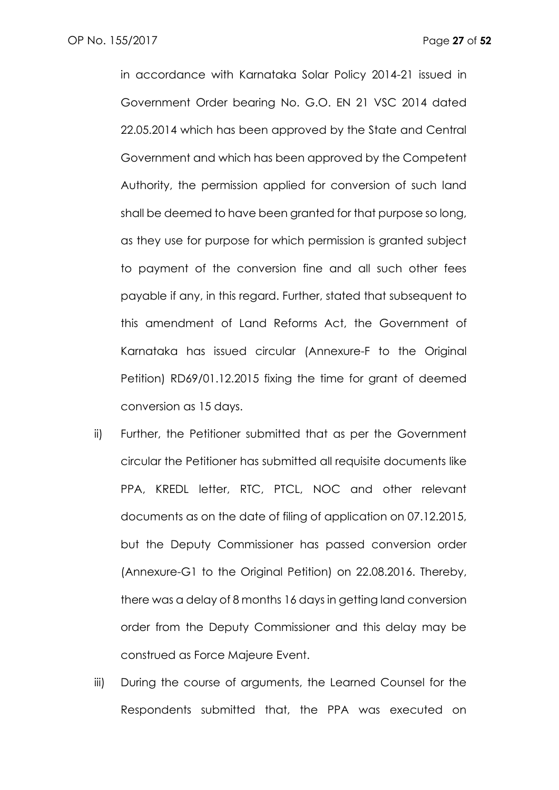in accordance with Karnataka Solar Policy 2014-21 issued in Government Order bearing No. G.O. EN 21 VSC 2014 dated 22.05.2014 which has been approved by the State and Central Government and which has been approved by the Competent Authority, the permission applied for conversion of such land shall be deemed to have been granted for that purpose so long, as they use for purpose for which permission is granted subject to payment of the conversion fine and all such other fees payable if any, in this regard. Further, stated that subsequent to this amendment of Land Reforms Act, the Government of Karnataka has issued circular (Annexure-F to the Original Petition) RD69/01.12.2015 fixing the time for grant of deemed conversion as 15 days.

- ii) Further, the Petitioner submitted that as per the Government circular the Petitioner has submitted all requisite documents like PPA, KREDL letter, RTC, PTCL, NOC and other relevant documents as on the date of filing of application on 07.12.2015, but the Deputy Commissioner has passed conversion order (Annexure-G1 to the Original Petition) on 22.08.2016. Thereby, there was a delay of 8 months 16 days in getting land conversion order from the Deputy Commissioner and this delay may be construed as Force Majeure Event.
- iii) During the course of arguments, the Learned Counsel for the Respondents submitted that, the PPA was executed on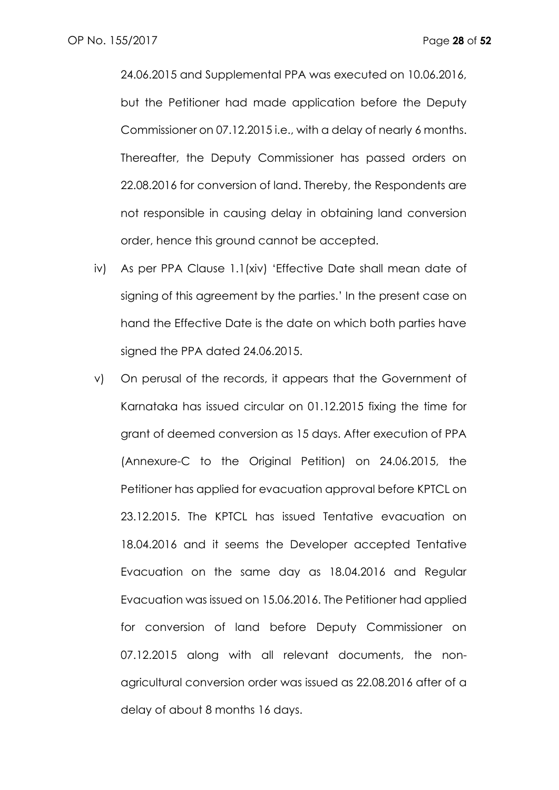24.06.2015 and Supplemental PPA was executed on 10.06.2016, but the Petitioner had made application before the Deputy Commissioner on 07.12.2015 i.e., with a delay of nearly 6 months. Thereafter, the Deputy Commissioner has passed orders on 22.08.2016 for conversion of land. Thereby, the Respondents are not responsible in causing delay in obtaining land conversion order, hence this ground cannot be accepted.

- iv) As per PPA Clause 1.1(xiv) 'Effective Date shall mean date of signing of this agreement by the parties.' In the present case on hand the Effective Date is the date on which both parties have signed the PPA dated 24.06.2015.
- v) On perusal of the records, it appears that the Government of Karnataka has issued circular on 01.12.2015 fixing the time for grant of deemed conversion as 15 days. After execution of PPA (Annexure-C to the Original Petition) on 24.06.2015, the Petitioner has applied for evacuation approval before KPTCL on 23.12.2015. The KPTCL has issued Tentative evacuation on 18.04.2016 and it seems the Developer accepted Tentative Evacuation on the same day as 18.04.2016 and Regular Evacuation was issued on 15.06.2016. The Petitioner had applied for conversion of land before Deputy Commissioner on 07.12.2015 along with all relevant documents, the nonagricultural conversion order was issued as 22.08.2016 after of a delay of about 8 months 16 days.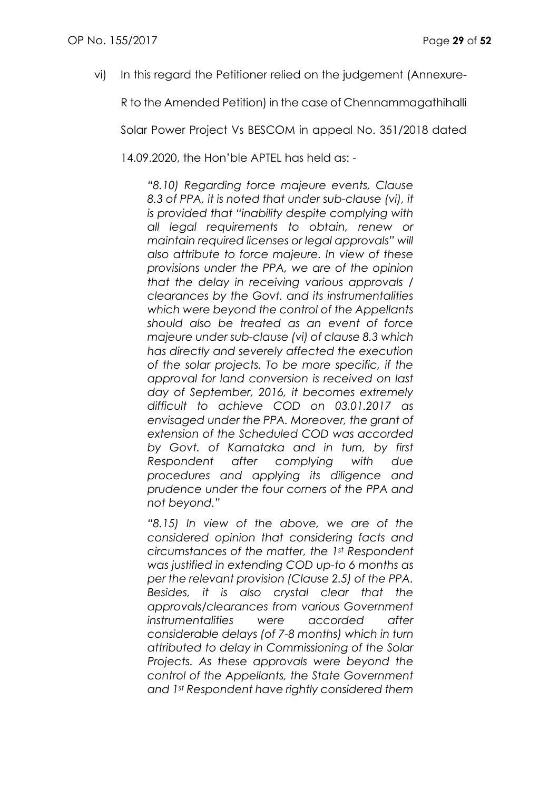vi) In this regard the Petitioner relied on the judgement (Annexure-

R to the Amended Petition) in the case of Chennammagathihalli

Solar Power Project Vs BESCOM in appeal No. 351/2018 dated

14.09.2020, the Hon'ble APTEL has held as: -

*"8.10) Regarding force majeure events, Clause 8.3 of PPA, it is noted that under sub-clause (vi), it is provided that "inability despite complying with all legal requirements to obtain, renew or maintain required licenses or legal approvals" will also attribute to force majeure. In view of these provisions under the PPA, we are of the opinion that the delay in receiving various approvals / clearances by the Govt. and its instrumentalities which were beyond the control of the Appellants should also be treated as an event of force majeure under sub-clause (vi) of clause 8.3 which has directly and severely affected the execution of the solar projects. To be more specific, if the approval for land conversion is received on last day of September, 2016, it becomes extremely difficult to achieve COD on 03.01.2017 as envisaged under the PPA. Moreover, the grant of extension of the Scheduled COD was accorded by Govt. of Karnataka and in turn, by first Respondent after complying with due procedures and applying its diligence and prudence under the four corners of the PPA and not beyond."*

*"8.15) In view of the above, we are of the considered opinion that considering facts and circumstances of the matter, the 1st Respondent was justified in extending COD up-to 6 months as per the relevant provision (Clause 2.5) of the PPA. Besides, it is also crystal clear that the approvals/clearances from various Government instrumentalities were accorded after considerable delays (of 7-8 months) which in turn attributed to delay in Commissioning of the Solar Projects. As these approvals were beyond the control of the Appellants, the State Government and 1st Respondent have rightly considered them*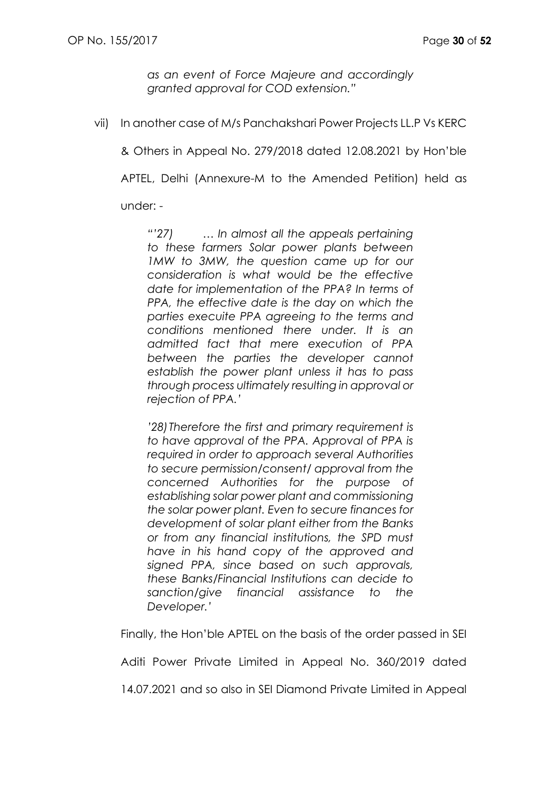*as an event of Force Majeure and accordingly granted approval for COD extension."*

vii) In another case of M/s Panchakshari Power Projects LL.P Vs KERC

& Others in Appeal No. 279/2018 dated 12.08.2021 by Hon'ble

APTEL, Delhi (Annexure-M to the Amended Petition) held as

under: -

*"'27) … In almost all the appeals pertaining to these farmers Solar power plants between 1MW to 3MW, the question came up for our consideration is what would be the effective date for implementation of the PPA? In terms of PPA, the effective date is the day on which the parties execuite PPA agreeing to the terms and conditions mentioned there under. It is an admitted fact that mere execution of PPA between the parties the developer cannot establish the power plant unless it has to pass through process ultimately resulting in approval or rejection of PPA.'*

*'28)Therefore the first and primary requirement is to have approval of the PPA. Approval of PPA is required in order to approach several Authorities to secure permission/consent/ approval from the concerned Authorities for the purpose of establishing solar power plant and commissioning the solar power plant. Even to secure finances for development of solar plant either from the Banks or from any financial institutions, the SPD must have in his hand copy of the approved and signed PPA, since based on such approvals, these Banks/Financial Institutions can decide to sanction/give financial assistance to the Developer.'*

Finally, the Hon'ble APTEL on the basis of the order passed in SEI

Aditi Power Private Limited in Appeal No. 360/2019 dated

14.07.2021 and so also in SEI Diamond Private Limited in Appeal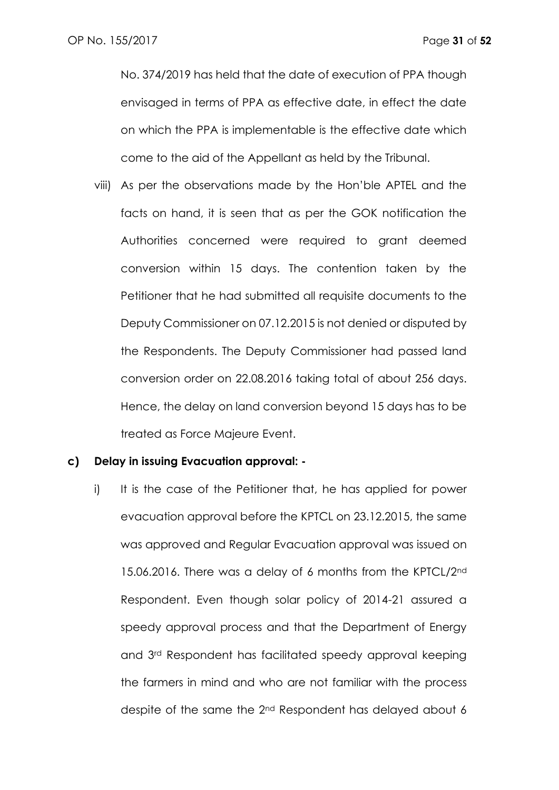No. 374/2019 has held that the date of execution of PPA though envisaged in terms of PPA as effective date, in effect the date on which the PPA is implementable is the effective date which come to the aid of the Appellant as held by the Tribunal.

viii) As per the observations made by the Hon'ble APTEL and the facts on hand, it is seen that as per the GOK notification the Authorities concerned were required to grant deemed conversion within 15 days. The contention taken by the Petitioner that he had submitted all requisite documents to the Deputy Commissioner on 07.12.2015 is not denied or disputed by the Respondents. The Deputy Commissioner had passed land conversion order on 22.08.2016 taking total of about 256 days. Hence, the delay on land conversion beyond 15 days has to be treated as Force Majeure Event.

### **c) Delay in issuing Evacuation approval: -**

i) It is the case of the Petitioner that, he has applied for power evacuation approval before the KPTCL on 23.12.2015, the same was approved and Regular Evacuation approval was issued on 15.06.2016. There was a delay of 6 months from the KPTCL/2<sup>nd</sup> Respondent. Even though solar policy of 2014-21 assured a speedy approval process and that the Department of Energy and 3rd Respondent has facilitated speedy approval keeping the farmers in mind and who are not familiar with the process despite of the same the 2nd Respondent has delayed about 6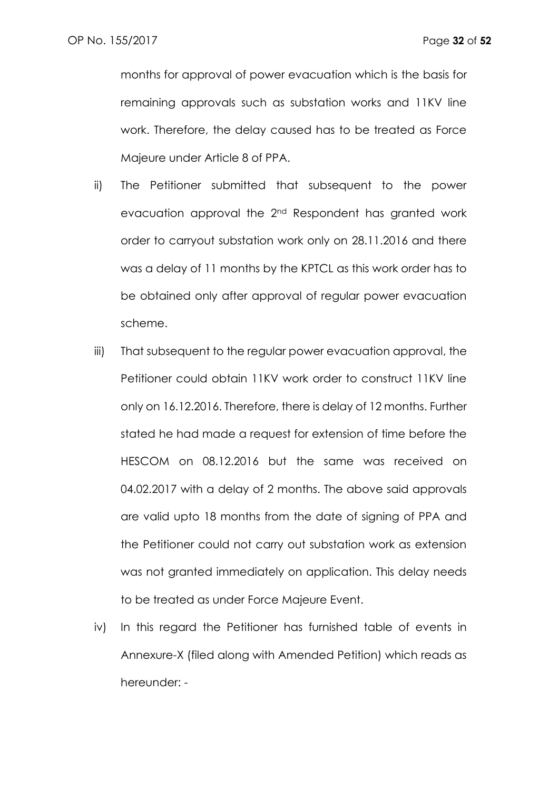months for approval of power evacuation which is the basis for remaining approvals such as substation works and 11KV line work. Therefore, the delay caused has to be treated as Force Majeure under Article 8 of PPA.

- ii) The Petitioner submitted that subsequent to the power evacuation approval the 2nd Respondent has granted work order to carryout substation work only on 28.11.2016 and there was a delay of 11 months by the KPTCL as this work order has to be obtained only after approval of regular power evacuation scheme.
- iii) That subsequent to the regular power evacuation approval, the Petitioner could obtain 11KV work order to construct 11KV line only on 16.12.2016. Therefore, there is delay of 12 months. Further stated he had made a request for extension of time before the HESCOM on 08.12.2016 but the same was received on 04.02.2017 with a delay of 2 months. The above said approvals are valid upto 18 months from the date of signing of PPA and the Petitioner could not carry out substation work as extension was not granted immediately on application. This delay needs to be treated as under Force Majeure Event.
- iv) In this regard the Petitioner has furnished table of events in Annexure-X (filed along with Amended Petition) which reads as hereunder: -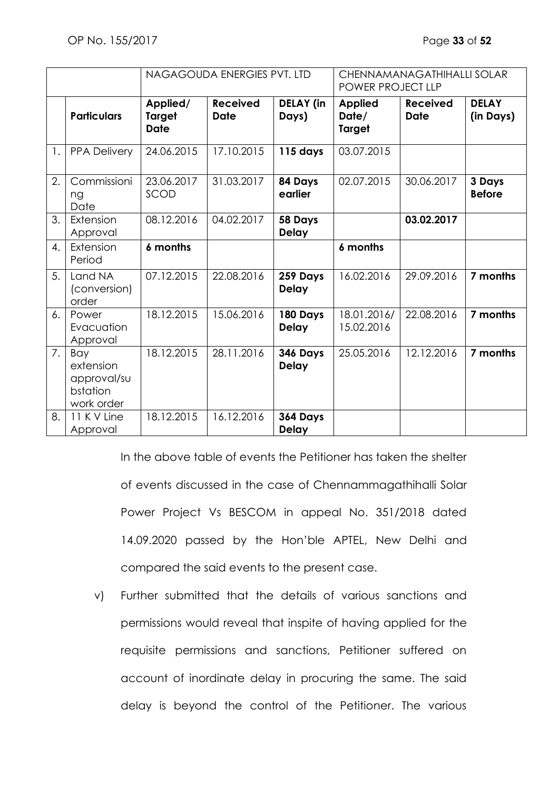|                |                                                           | NAGAGOUDA ENERGIES PVT. LTD              |                                |                           | CHENNAMANAGATHIHALLI SOLAR<br>POWER PROJECT LLP |                                |                           |
|----------------|-----------------------------------------------------------|------------------------------------------|--------------------------------|---------------------------|-------------------------------------------------|--------------------------------|---------------------------|
|                | <b>Particulars</b>                                        | Applied/<br><b>Target</b><br><b>Date</b> | <b>Received</b><br><b>Date</b> | <b>DELAY</b> (in<br>Days) | <b>Applied</b><br>Date/<br><b>Target</b>        | <b>Received</b><br><b>Date</b> | <b>DELAY</b><br>(in Days) |
| $\mathbf{1}$ . | <b>PPA Delivery</b>                                       | 24.06.2015                               | 17.10.2015                     | 115 days                  | 03.07.2015                                      |                                |                           |
| 2.             | Commissioni<br>ng<br>Date                                 | 23.06.2017<br>SCOD                       | 31.03.2017                     | 84 Days<br>earlier        | 02.07.2015                                      | 30.06.2017                     | 3 Days<br><b>Before</b>   |
| 3.             | Extension<br>Approval                                     | 08.12.2016                               | 04.02.2017                     | 58 Days<br><b>Delay</b>   |                                                 | 03.02.2017                     |                           |
| 4.             | Extension<br>Period                                       | 6 months                                 |                                |                           | 6 months                                        |                                |                           |
| 5.             | Land NA<br>(conversion)<br>order                          | 07.12.2015                               | 22.08.2016                     | 259 Days<br><b>Delay</b>  | 16.02.2016                                      | 29.09.2016                     | 7 months                  |
| 6.             | Power<br>Evacuation<br>Approval                           | 18.12.2015                               | 15.06.2016                     | 180 Days<br><b>Delay</b>  | 18.01.2016/<br>15.02.2016                       | 22.08.2016                     | 7 months                  |
| 7.             | Bay<br>extension<br>approval/su<br>bstation<br>work order | 18.12.2015                               | 28.11.2016                     | 346 Days<br><b>Delay</b>  | 25.05.2016                                      | 12.12.2016                     | 7 months                  |
| 8.             | 11 K V Line<br>Approval                                   | 18.12.2015                               | 16.12.2016                     | 364 Days<br><b>Delay</b>  |                                                 |                                |                           |

In the above table of events the Petitioner has taken the shelter of events discussed in the case of Chennammagathihalli Solar Power Project Vs BESCOM in appeal No. 351/2018 dated 14.09.2020 passed by the Hon'ble APTEL, New Delhi and compared the said events to the present case.

v) Further submitted that the details of various sanctions and permissions would reveal that inspite of having applied for the requisite permissions and sanctions, Petitioner suffered on account of inordinate delay in procuring the same. The said delay is beyond the control of the Petitioner. The various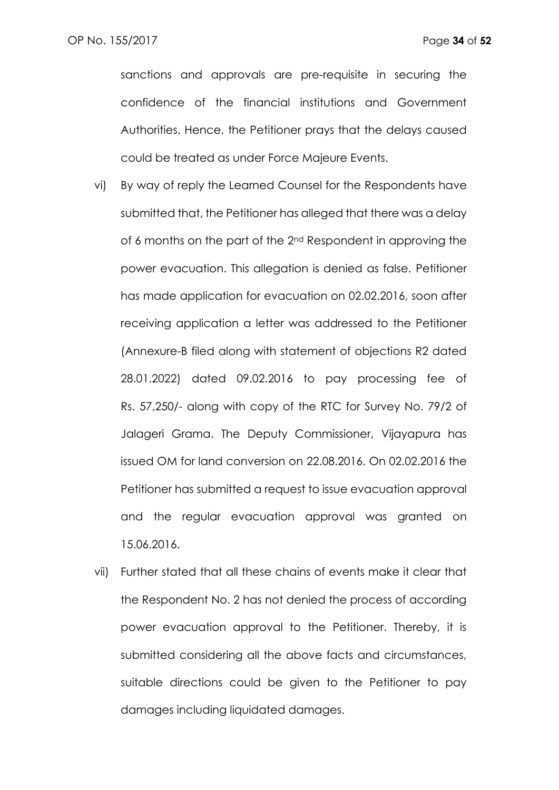sanctions and approvals are pre-requisite in securing the confidence of the financial institutions and Government Authorities. Hence, the Petitioner prays that the delays caused could be treated as under Force Majeure Events.

- vi) By way of reply the Learned Counsel for the Respondents have submitted that, the Petitioner has alleged that there was a delay of 6 months on the part of the 2<sup>nd</sup> Respondent in approving the power evacuation. This allegation is denied as false. Petitioner has made application for evacuation on 02.02.2016, soon after receiving application a letter was addressed to the Petitioner (Annexure-B filed along with statement of objections R2 dated 28.01.2022) dated 09.02.2016 to pay processing fee of Rs. 57,250/- along with copy of the RTC for Survey No. 79/2 of Jalageri Grama. The Deputy Commissioner, Vijayapura has issued OM for land conversion on 22.08.2016. On 02.02.2016 the Petitioner has submitted a request to issue evacuation approval and the regular evacuation approval was granted on 15.06.2016.
- vii) Further stated that all these chains of events make it clear that the Respondent No. 2 has not denied the process of according power evacuation approval to the Petitioner. Thereby, it is submitted considering all the above facts and circumstances, suitable directions could be given to the Petitioner to pay damages including liquidated damages.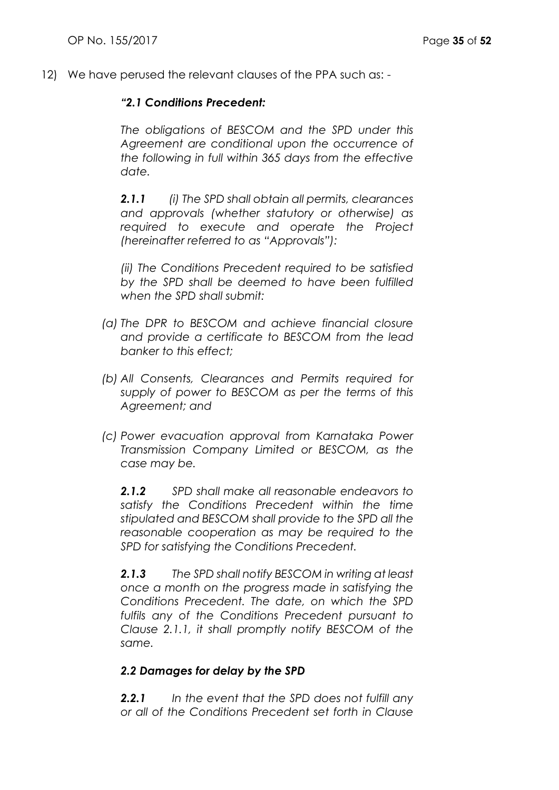12) We have perused the relevant clauses of the PPA such as: -

## *"2.1 Conditions Precedent:*

*The obligations of BESCOM and the SPD under this Agreement are conditional upon the occurrence of the following in full within 365 days from the effective date.*

*2.1.1 (i) The SPD shall obtain all permits, clearances and approvals (whether statutory or otherwise) as required to execute and operate the Project (hereinafter referred to as "Approvals"):*

*(ii) The Conditions Precedent required to be satisfied by the SPD shall be deemed to have been fulfilled when the SPD shall submit:*

- *(a) The DPR to BESCOM and achieve financial closure and provide a certificate to BESCOM from the lead banker to this effect;*
- *(b) All Consents, Clearances and Permits required for supply of power to BESCOM as per the terms of this Agreement; and*
- *(c) Power evacuation approval from Karnataka Power Transmission Company Limited or BESCOM, as the case may be.*

*2.1.2 SPD shall make all reasonable endeavors to satisfy the Conditions Precedent within the time stipulated and BESCOM shall provide to the SPD all the reasonable cooperation as may be required to the SPD for satisfying the Conditions Precedent.*

*2.1.3 The SPD shall notify BESCOM in writing at least once a month on the progress made in satisfying the Conditions Precedent. The date, on which the SPD fulfils any of the Conditions Precedent pursuant to Clause 2.1.1, it shall promptly notify BESCOM of the same.*

## *2.2 Damages for delay by the SPD*

*2.2.1 In the event that the SPD does not fulfill any or all of the Conditions Precedent set forth in Clause*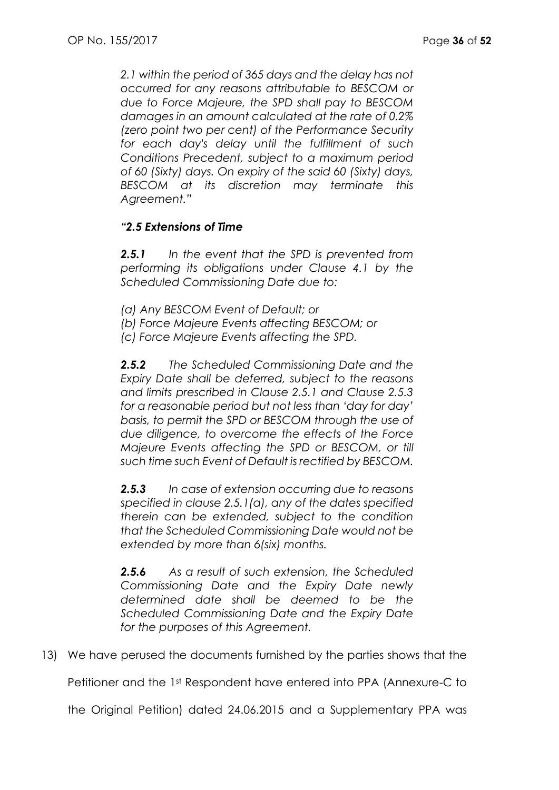*2.1 within the period of 365 days and the delay has not occurred for any reasons attributable to BESCOM or due to Force Majeure, the SPD shall pay to BESCOM damages in an amount calculated at the rate of 0.2% (zero point two per cent) of the Performance Security for each day's delay until the fulfillment of such Conditions Precedent, subject to a maximum period of 60 (Sixty) days. On expiry of the said 60 (Sixty) days, BESCOM at its discretion may terminate this Agreement."*

# *"2.5 Extensions of Time*

*2.5.1 In the event that the SPD is prevented from performing its obligations under Clause 4.1 by the Scheduled Commissioning Date due to:*

- *(a) Any BESCOM Event of Default; or*
- *(b) Force Majeure Events affecting BESCOM; or*
- *(c) Force Majeure Events affecting the SPD.*

*2.5.2 The Scheduled Commissioning Date and the Expiry Date shall be deferred, subject to the reasons and limits prescribed in Clause 2.5.1 and Clause 2.5.3 for a reasonable period but not less than 'day for day' basis, to permit the SPD or BESCOM through the use of due diligence, to overcome the effects of the Force Majeure Events affecting the SPD or BESCOM, or till such time such Event of Default is rectified by BESCOM.*

*2.5.3 In case of extension occurring due to reasons specified in clause 2.5.1(a), any of the dates specified therein can be extended, subject to the condition that the Scheduled Commissioning Date would not be extended by more than 6(six) months.*

*2.5.6 As a result of such extension, the Scheduled Commissioning Date and the Expiry Date newly determined date shall be deemed to be the Scheduled Commissioning Date and the Expiry Date for the purposes of this Agreement.*

13) We have perused the documents furnished by the parties shows that the

Petitioner and the 1st Respondent have entered into PPA (Annexure-C to

the Original Petition) dated 24.06.2015 and a Supplementary PPA was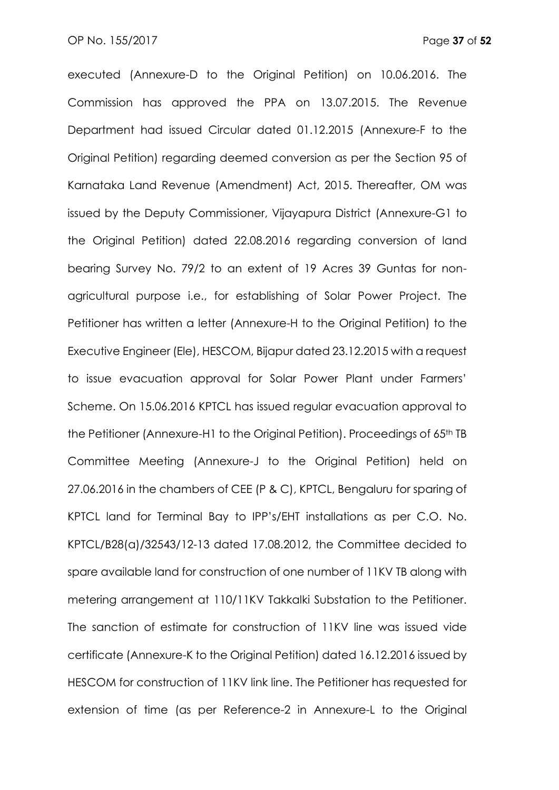executed (Annexure-D to the Original Petition) on 10.06.2016. The Commission has approved the PPA on 13.07.2015. The Revenue Department had issued Circular dated 01.12.2015 (Annexure-F to the Original Petition) regarding deemed conversion as per the Section 95 of Karnataka Land Revenue (Amendment) Act, 2015. Thereafter, OM was issued by the Deputy Commissioner, Vijayapura District (Annexure-G1 to the Original Petition) dated 22.08.2016 regarding conversion of land bearing Survey No. 79/2 to an extent of 19 Acres 39 Guntas for nonagricultural purpose i.e., for establishing of Solar Power Project. The Petitioner has written a letter (Annexure-H to the Original Petition) to the Executive Engineer (Ele), HESCOM, Bijapur dated 23.12.2015 with a request to issue evacuation approval for Solar Power Plant under Farmers' Scheme. On 15.06.2016 KPTCL has issued regular evacuation approval to the Petitioner (Annexure-H1 to the Original Petition). Proceedings of 65th TB Committee Meeting (Annexure-J to the Original Petition) held on 27.06.2016 in the chambers of CEE (P & C), KPTCL, Bengaluru for sparing of KPTCL land for Terminal Bay to IPP's/EHT installations as per C.O. No. KPTCL/B28(a)/32543/12-13 dated 17.08.2012, the Committee decided to spare available land for construction of one number of 11KV TB along with metering arrangement at 110/11KV Takkalki Substation to the Petitioner. The sanction of estimate for construction of 11KV line was issued vide certificate (Annexure-K to the Original Petition) dated 16.12.2016 issued by HESCOM for construction of 11KV link line. The Petitioner has requested for extension of time (as per Reference-2 in Annexure-L to the Original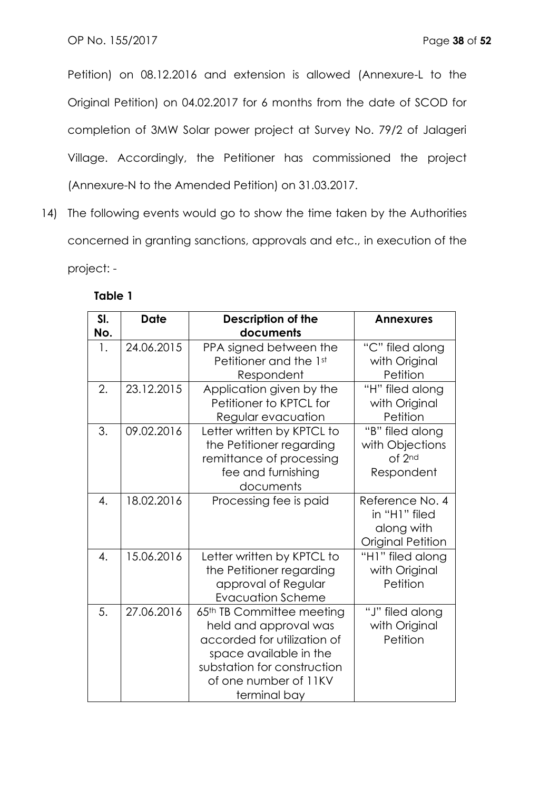Petition) on 08.12.2016 and extension is allowed (Annexure-L to the Original Petition) on 04.02.2017 for 6 months from the date of SCOD for completion of 3MW Solar power project at Survey No. 79/2 of Jalageri Village. Accordingly, the Petitioner has commissioned the project (Annexure-N to the Amended Petition) on 31.03.2017.

14) The following events would go to show the time taken by the Authorities concerned in granting sanctions, approvals and etc., in execution of the project: -

| SI.<br>No. | <b>Date</b> | <b>Description of the</b><br>documents                                                                                                                                              | <b>Annexures</b>                                                           |
|------------|-------------|-------------------------------------------------------------------------------------------------------------------------------------------------------------------------------------|----------------------------------------------------------------------------|
| 1.         | 24.06.2015  | PPA signed between the<br>Petitioner and the 1st<br>Respondent                                                                                                                      | "C" filed along<br>with Original<br>Petition                               |
| 2.         | 23.12.2015  | Application given by the<br>Petitioner to KPTCL for<br>Regular evacuation                                                                                                           | "H" filed along<br>with Original<br>Petition                               |
| 3.         | 09.02.2016  | Letter written by KPTCL to<br>the Petitioner regarding<br>remittance of processing<br>fee and furnishing<br>documents                                                               | "B" filed along<br>with Objections<br>of 2nd<br>Respondent                 |
| 4.         | 18.02.2016  | Processing fee is paid                                                                                                                                                              | Reference No. 4<br>in "H1" filed<br>along with<br><b>Original Petition</b> |
| 4.         | 15.06.2016  | Letter written by KPTCL to<br>the Petitioner regarding<br>approval of Regular<br><b>Evacuation Scheme</b>                                                                           | "H1" filed along<br>with Original<br>Petition                              |
| 5.         | 27.06.2016  | 65th TB Committee meeting<br>held and approval was<br>accorded for utilization of<br>space available in the<br>substation for construction<br>of one number of 11KV<br>terminal bay | "J" filed along<br>with Original<br>Petition                               |

## **Table 1**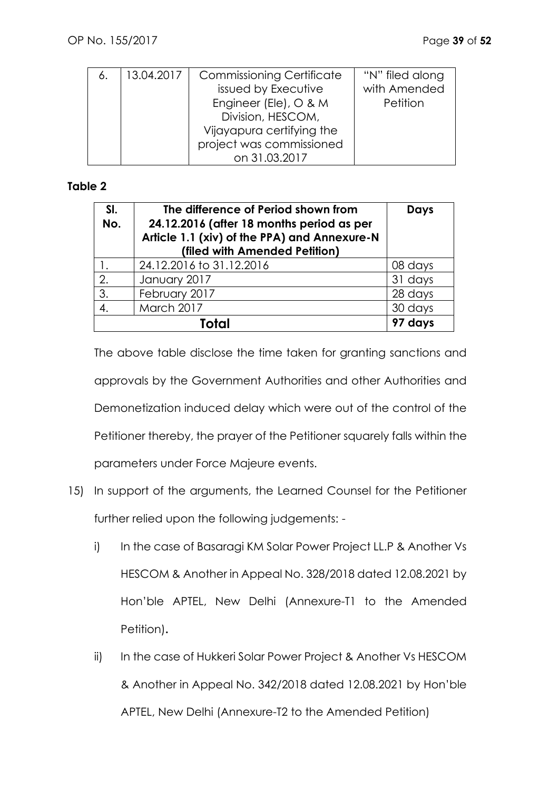| 6. | 13.04.2017 | <b>Commissioning Certificate</b> | "N" filed along |
|----|------------|----------------------------------|-----------------|
|    |            | issued by Executive              | with Amended    |
|    |            | Engineer (Ele), O & M            | Petition        |
|    |            | Division, HESCOM,                |                 |
|    |            | Vijayapura certifying the        |                 |
|    |            | project was commissioned         |                 |
|    |            | on 31.03.2017                    |                 |

## **Table 2**

| SI.<br>No. | The difference of Period shown from<br>24.12.2016 (after 18 months period as per<br>Article 1.1 (xiv) of the PPA) and Annexure-N<br>(filed with Amended Petition) | <b>Days</b> |
|------------|-------------------------------------------------------------------------------------------------------------------------------------------------------------------|-------------|
| 1.         | 24.12.2016 to 31.12.2016                                                                                                                                          | 08 days     |
| 2.         | January 2017                                                                                                                                                      | 31 days     |
| 3.         | February 2017                                                                                                                                                     | 28 days     |
| 4.         | March 2017                                                                                                                                                        | 30 days     |
|            | ruful                                                                                                                                                             | 97 days     |

The above table disclose the time taken for granting sanctions and approvals by the Government Authorities and other Authorities and Demonetization induced delay which were out of the control of the Petitioner thereby, the prayer of the Petitioner squarely falls within the parameters under Force Majeure events.

- 15) In support of the arguments, the Learned Counsel for the Petitioner further relied upon the following judgements:
	- i) In the case of Basaragi KM Solar Power Project LL.P & Another Vs HESCOM & Another in Appeal No. 328/2018 dated 12.08.2021 by Hon'ble APTEL, New Delhi (Annexure-T1 to the Amended Petition)**.**
	- ii) In the case of Hukkeri Solar Power Project & Another Vs HESCOM & Another in Appeal No. 342/2018 dated 12.08.2021 by Hon'ble APTEL, New Delhi (Annexure-T2 to the Amended Petition)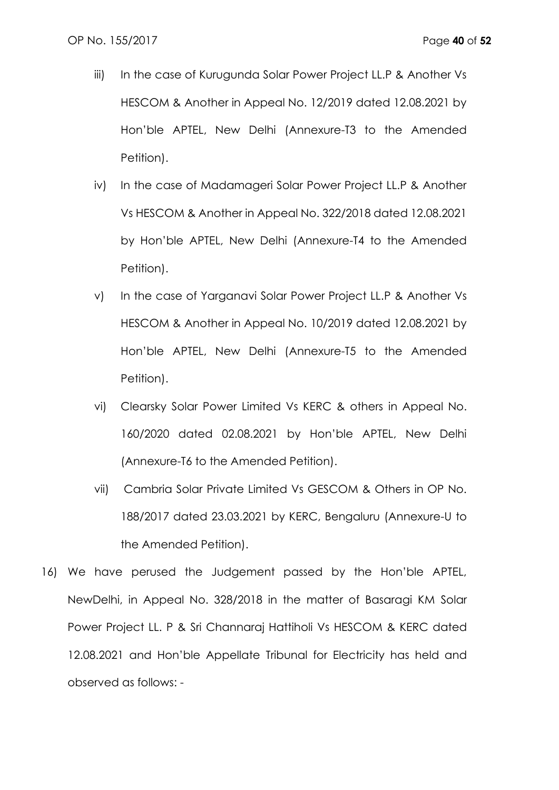- iii) In the case of Kurugunda Solar Power Project LL.P & Another Vs HESCOM & Another in Appeal No. 12/2019 dated 12.08.2021 by Hon'ble APTEL, New Delhi (Annexure-T3 to the Amended Petition).
- iv) In the case of Madamageri Solar Power Project LL.P & Another Vs HESCOM & Another in Appeal No. 322/2018 dated 12.08.2021 by Hon'ble APTEL, New Delhi (Annexure-T4 to the Amended Petition).
- v) In the case of Yarganavi Solar Power Project LL.P & Another Vs HESCOM & Another in Appeal No. 10/2019 dated 12.08.2021 by Hon'ble APTEL, New Delhi (Annexure-T5 to the Amended Petition).
- vi) Clearsky Solar Power Limited Vs KERC & others in Appeal No. 160/2020 dated 02.08.2021 by Hon'ble APTEL, New Delhi (Annexure-T6 to the Amended Petition).
- vii) Cambria Solar Private Limited Vs GESCOM & Others in OP No. 188/2017 dated 23.03.2021 by KERC, Bengaluru (Annexure-U to the Amended Petition).
- 16) We have perused the Judgement passed by the Hon'ble APTEL, NewDelhi, in Appeal No. 328/2018 in the matter of Basaragi KM Solar Power Project LL. P & Sri Channaraj Hattiholi Vs HESCOM & KERC dated 12.08.2021 and Hon'ble Appellate Tribunal for Electricity has held and observed as follows: -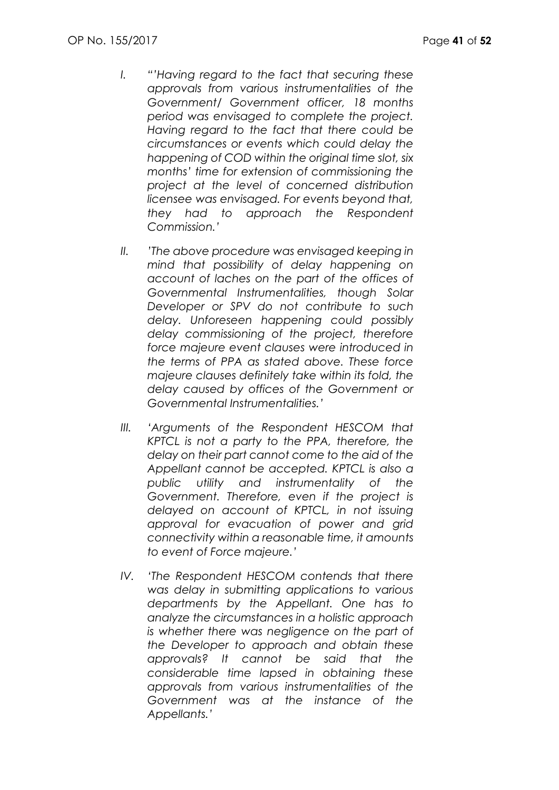- *I. "'Having regard to the fact that securing these approvals from various instrumentalities of the Government/ Government officer, 18 months period was envisaged to complete the project. Having regard to the fact that there could be circumstances or events which could delay the happening of COD within the original time slot, six months' time for extension of commissioning the project at the level of concerned distribution licensee was envisaged. For events beyond that, they had to approach the Respondent Commission.'*
- *II. 'The above procedure was envisaged keeping in mind that possibility of delay happening on account of laches on the part of the offices of Governmental Instrumentalities, though Solar Developer or SPV do not contribute to such delay. Unforeseen happening could possibly delay commissioning of the project, therefore force majeure event clauses were introduced in the terms of PPA as stated above. These force majeure clauses definitely take within its fold, the delay caused by offices of the Government or Governmental Instrumentalities.'*
- *III. 'Arguments of the Respondent HESCOM that KPTCL is not a party to the PPA, therefore, the delay on their part cannot come to the aid of the Appellant cannot be accepted. KPTCL is also a public utility and instrumentality of the Government. Therefore, even if the project is delayed on account of KPTCL, in not issuing approval for evacuation of power and grid connectivity within a reasonable time, it amounts to event of Force majeure.'*
- *IV. 'The Respondent HESCOM contends that there was delay in submitting applications to various departments by the Appellant. One has to analyze the circumstances in a holistic approach is whether there was negligence on the part of the Developer to approach and obtain these approvals? It cannot be said that the considerable time lapsed in obtaining these approvals from various instrumentalities of the Government was at the instance of the Appellants.'*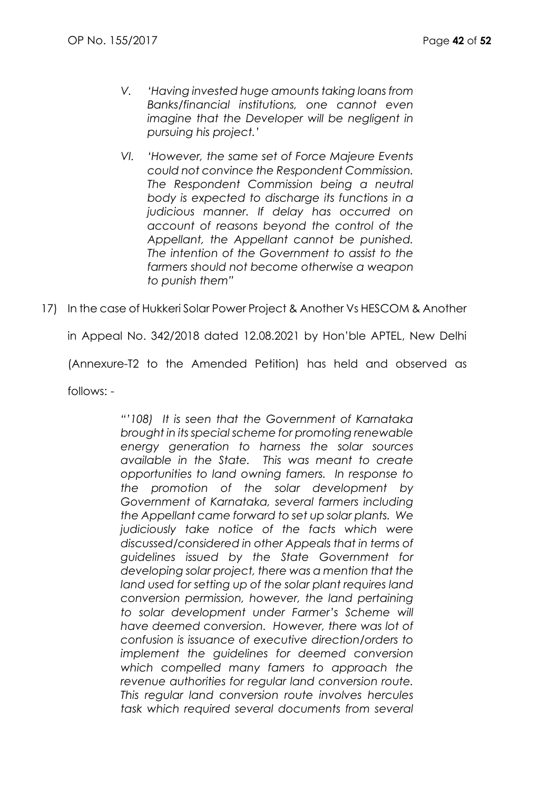- *V. 'Having invested huge amounts taking loans from Banks/financial institutions, one cannot even imagine that the Developer will be negligent in pursuing his project.'*
- *VI. 'However, the same set of Force Majeure Events could not convince the Respondent Commission. The Respondent Commission being a neutral body is expected to discharge its functions in a judicious manner. If delay has occurred on account of reasons beyond the control of the Appellant, the Appellant cannot be punished. The intention of the Government to assist to the farmers should not become otherwise a weapon to punish them"*
- 17) In the case of Hukkeri Solar Power Project & Another Vs HESCOM & Another

in Appeal No. 342/2018 dated 12.08.2021 by Hon'ble APTEL, New Delhi

(Annexure-T2 to the Amended Petition) has held and observed as

follows: -

*"'108) It is seen that the Government of Karnataka brought in its special scheme for promoting renewable energy generation to harness the solar sources available in the State. This was meant to create opportunities to land owning famers. In response to the promotion of the solar development by Government of Karnataka, several farmers including the Appellant came forward to set up solar plants. We judiciously take notice of the facts which were discussed/considered in other Appeals that in terms of guidelines issued by the State Government for developing solar project, there was a mention that the land used for setting up of the solar plant requires land conversion permission, however, the land pertaining to solar development under Farmer's Scheme will have deemed conversion. However, there was lot of confusion is issuance of executive direction/orders to implement the guidelines for deemed conversion which compelled many famers to approach the revenue authorities for regular land conversion route. This regular land conversion route involves hercules task which required several documents from several*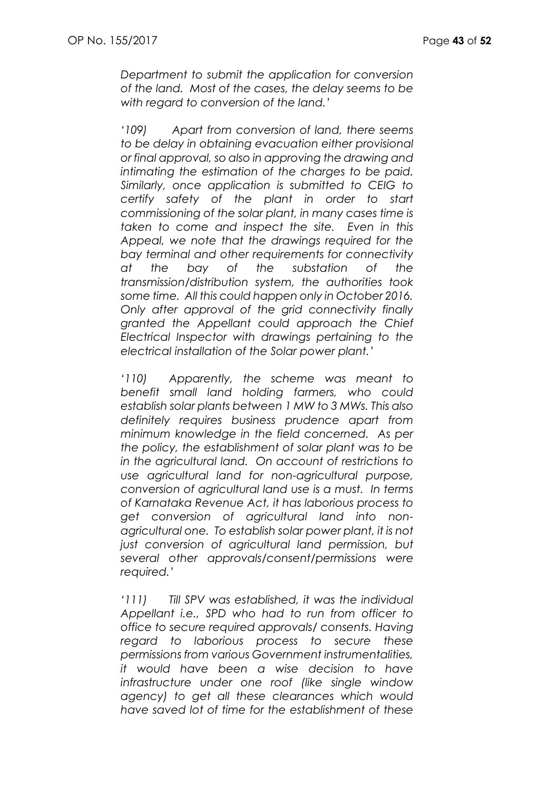*Department to submit the application for conversion of the land. Most of the cases, the delay seems to be with regard to conversion of the land.'*

*'109) Apart from conversion of land, there seems to be delay in obtaining evacuation either provisional or final approval, so also in approving the drawing and intimating the estimation of the charges to be paid. Similarly, once application is submitted to CEIG to certify safety of the plant in order to start commissioning of the solar plant, in many cases time is taken to come and inspect the site. Even in this Appeal, we note that the drawings required for the bay terminal and other requirements for connectivity at the bay of the substation of the transmission/distribution system, the authorities took some time. All this could happen only in October 2016. Only after approval of the grid connectivity finally granted the Appellant could approach the Chief Electrical Inspector with drawings pertaining to the electrical installation of the Solar power plant.'*

*'110) Apparently, the scheme was meant to benefit small land holding farmers, who could establish solar plants between 1 MW to 3 MWs. This also definitely requires business prudence apart from minimum knowledge in the field concerned. As per the policy, the establishment of solar plant was to be in the agricultural land. On account of restrictions to use agricultural land for non-agricultural purpose, conversion of agricultural land use is a must. In terms of Karnataka Revenue Act, it has laborious process to get conversion of agricultural land into nonagricultural one. To establish solar power plant, it is not just conversion of agricultural land permission, but several other approvals/consent/permissions were required.'*

*'111) Till SPV was established, it was the individual Appellant i.e., SPD who had to run from officer to office to secure required approvals/ consents. Having regard to laborious process to secure these permissions from various Government instrumentalities, it would have been a wise decision to have infrastructure under one roof (like single window agency) to get all these clearances which would have saved lot of time for the establishment of these*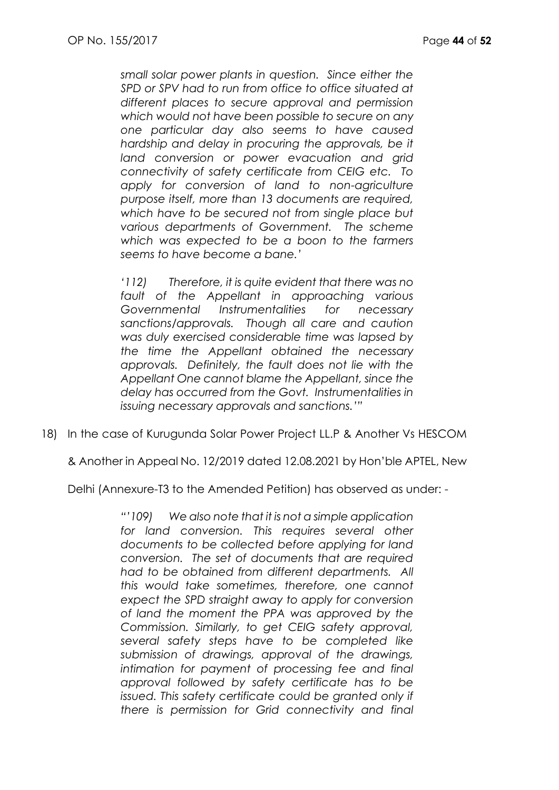*small solar power plants in question. Since either the SPD or SPV had to run from office to office situated at different places to secure approval and permission which would not have been possible to secure on any one particular day also seems to have caused hardship and delay in procuring the approvals, be it land conversion or power evacuation and grid connectivity of safety certificate from CEIG etc. To apply for conversion of land to non-agriculture purpose itself, more than 13 documents are required, which have to be secured not from single place but various departments of Government. The scheme which was expected to be a boon to the farmers seems to have become a bane.'*

*'112) Therefore, it is quite evident that there was no fault of the Appellant in approaching various Governmental Instrumentalities for necessary sanctions/approvals. Though all care and caution was duly exercised considerable time was lapsed by the time the Appellant obtained the necessary approvals. Definitely, the fault does not lie with the Appellant One cannot blame the Appellant, since the delay has occurred from the Govt. Instrumentalities in issuing necessary approvals and sanctions.'"*

18) In the case of Kurugunda Solar Power Project LL.P & Another Vs HESCOM

& Another in Appeal No. 12/2019 dated 12.08.2021 by Hon'ble APTEL, New

Delhi (Annexure-T3 to the Amended Petition) has observed as under: -

*"'109) We also note that it is not a simple application*  for land conversion. This requires several other *documents to be collected before applying for land conversion. The set of documents that are required had to be obtained from different departments. All this would take sometimes, therefore, one cannot expect the SPD straight away to apply for conversion of land the moment the PPA was approved by the Commission. Similarly, to get CEIG safety approval, several safety steps have to be completed like submission of drawings, approval of the drawings, intimation for payment of processing fee and final approval followed by safety certificate has to be issued. This safety certificate could be granted only if there is permission for Grid connectivity and final*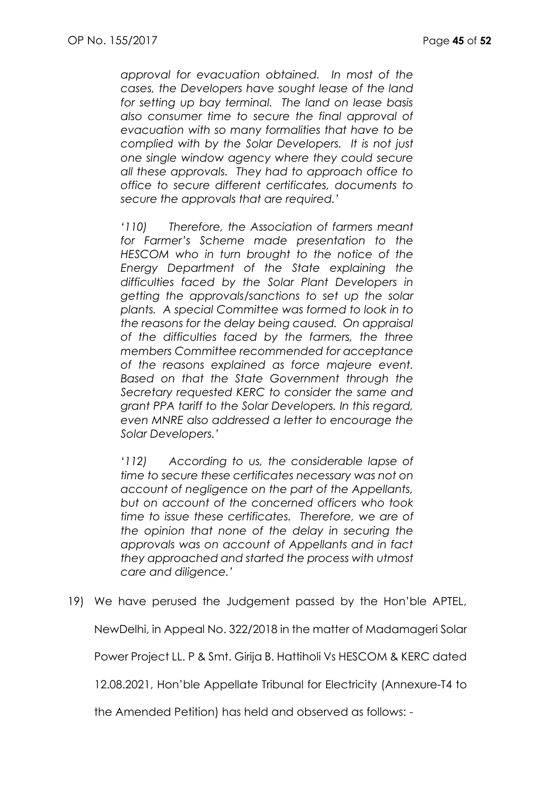*approval for evacuation obtained. In most of the cases, the Developers have sought lease of the land for setting up bay terminal. The land on lease basis also consumer time to secure the final approval of evacuation with so many formalities that have to be complied with by the Solar Developers. It is not just one single window agency where they could secure all these approvals. They had to approach office to office to secure different certificates, documents to secure the approvals that are required.'*

*'110) Therefore, the Association of farmers meant for Farmer's Scheme made presentation to the HESCOM who in turn brought to the notice of the Energy Department of the State explaining the difficulties faced by the Solar Plant Developers in getting the approvals/sanctions to set up the solar plants. A special Committee was formed to look in to the reasons for the delay being caused. On appraisal of the difficulties faced by the farmers, the three members Committee recommended for acceptance of the reasons explained as force majeure event. Based on that the State Government through the Secretary requested KERC to consider the same and grant PPA tariff to the Solar Developers. In this regard, even MNRE also addressed a letter to encourage the Solar Developers.'*

*'112) According to us, the considerable lapse of time to secure these certificates necessary was not on account of negligence on the part of the Appellants, but on account of the concerned officers who took time to issue these certificates. Therefore, we are of the opinion that none of the delay in securing the approvals was on account of Appellants and in fact they approached and started the process with utmost care and diligence.'*

19) We have perused the Judgement passed by the Hon'ble APTEL,

NewDelhi, in Appeal No. 322/2018 in the matter of Madamageri Solar

Power Project LL. P & Smt. Girija B. Hattiholi Vs HESCOM & KERC dated

12.08.2021, Hon'ble Appellate Tribunal for Electricity (Annexure-T4 to

the Amended Petition) has held and observed as follows: -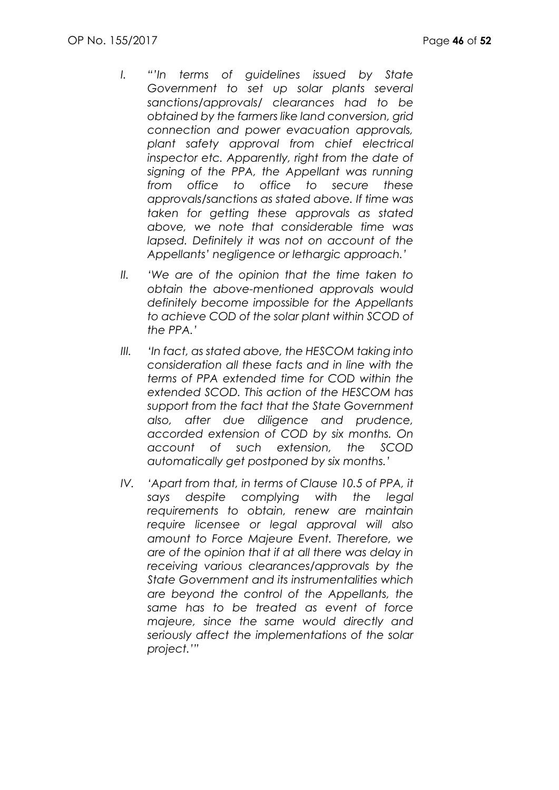- *I. "'In terms of guidelines issued by State Government to set up solar plants several sanctions/approvals/ clearances had to be obtained by the farmers like land conversion, grid connection and power evacuation approvals, plant safety approval from chief electrical inspector etc. Apparently, right from the date of signing of the PPA, the Appellant was running from office to office to secure these approvals/sanctions as stated above. If time was taken for getting these approvals as stated above, we note that considerable time was lapsed. Definitely it was not on account of the Appellants' negligence or lethargic approach.'*
- *II. 'We are of the opinion that the time taken to obtain the above-mentioned approvals would definitely become impossible for the Appellants to achieve COD of the solar plant within SCOD of the PPA.'*
- *III. 'In fact, as stated above, the HESCOM taking into consideration all these facts and in line with the terms of PPA extended time for COD within the extended SCOD. This action of the HESCOM has support from the fact that the State Government also, after due diligence and prudence, accorded extension of COD by six months. On account of such extension, the SCOD automatically get postponed by six months.'*
- *IV. 'Apart from that, in terms of Clause 10.5 of PPA, it says despite complying with the legal requirements to obtain, renew are maintain require licensee or legal approval will also amount to Force Majeure Event. Therefore, we are of the opinion that if at all there was delay in receiving various clearances/approvals by the State Government and its instrumentalities which are beyond the control of the Appellants, the same has to be treated as event of force majeure, since the same would directly and seriously affect the implementations of the solar project.'"*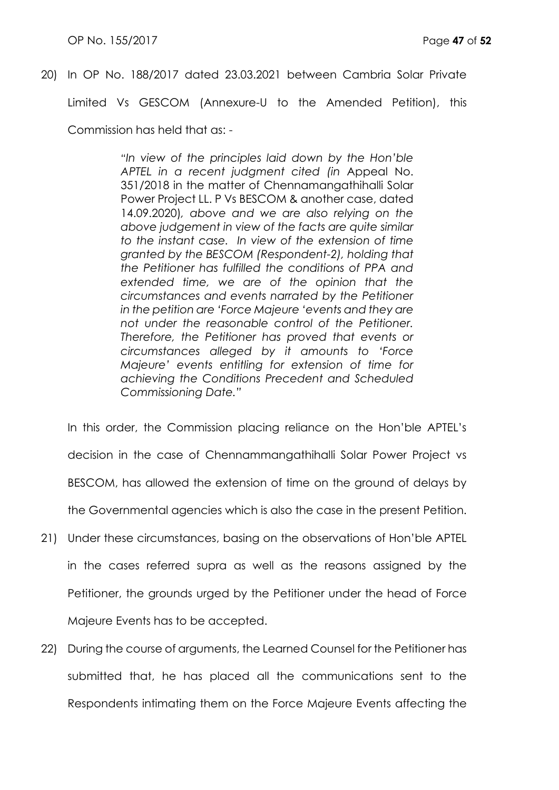## 20) In OP No. 188/2017 dated 23.03.2021 between Cambria Solar Private

Limited Vs GESCOM (Annexure-U to the Amended Petition), this

Commission has held that as: -

*"In view of the principles laid down by the Hon'ble APTEL in a recent judgment cited (in* Appeal No. 351/2018 in the matter of Chennamangathihalli Solar Power Project LL. P Vs BESCOM & another case, dated 14.09.2020)*, above and we are also relying on the above judgement in view of the facts are quite similar to the instant case. In view of the extension of time granted by the BESCOM (Respondent-2), holding that the Petitioner has fulfilled the conditions of PPA and extended time, we are of the opinion that the circumstances and events narrated by the Petitioner in the petition are 'Force Majeure 'events and they are not under the reasonable control of the Petitioner. Therefore, the Petitioner has proved that events or circumstances alleged by it amounts to 'Force Majeure' events entitling for extension of time for achieving the Conditions Precedent and Scheduled Commissioning Date."*

In this order, the Commission placing reliance on the Hon'ble APTEL's decision in the case of Chennammangathihalli Solar Power Project vs BESCOM, has allowed the extension of time on the ground of delays by the Governmental agencies which is also the case in the present Petition.

- 21) Under these circumstances, basing on the observations of Hon'ble APTEL in the cases referred supra as well as the reasons assigned by the Petitioner, the grounds urged by the Petitioner under the head of Force Majeure Events has to be accepted.
- 22) During the course of arguments, the Learned Counsel for the Petitioner has submitted that, he has placed all the communications sent to the Respondents intimating them on the Force Majeure Events affecting the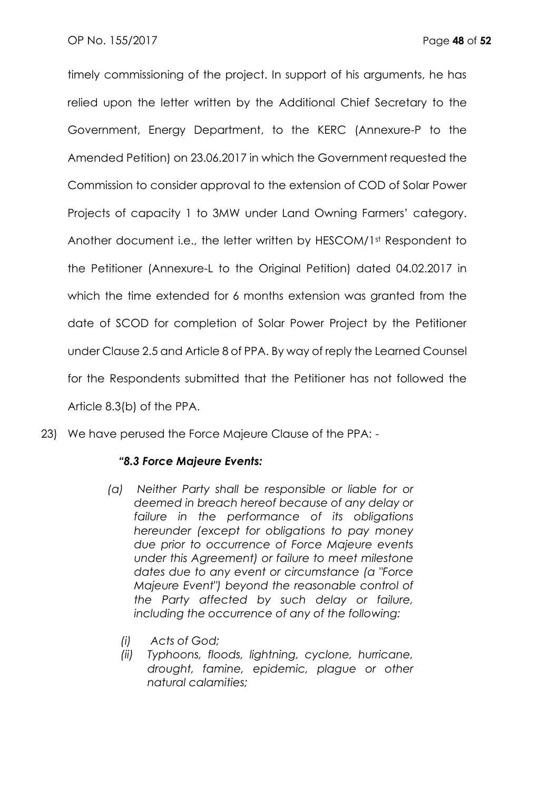timely commissioning of the project. In support of his arguments, he has relied upon the letter written by the Additional Chief Secretary to the Government, Energy Department, to the KERC (Annexure-P to the Amended Petition) on 23.06.2017 in which the Government requested the Commission to consider approval to the extension of COD of Solar Power Projects of capacity 1 to 3MW under Land Owning Farmers' category. Another document i.e., the letter written by HESCOM/1st Respondent to the Petitioner (Annexure-L to the Original Petition) dated 04.02.2017 in which the time extended for 6 months extension was aranted from the date of SCOD for completion of Solar Power Project by the Petitioner under Clause 2.5 and Article 8 of PPA. By way of reply the Learned Counsel for the Respondents submitted that the Petitioner has not followed the Article 8.3(b) of the PPA.

23) We have perused the Force Majeure Clause of the PPA: -

## *"8.3 Force Majeure Events:*

- *(a) Neither Party shall be responsible or liable for or deemed in breach hereof because of any delay or failure in the performance of its obligations hereunder (except for obligations to pay money due prior to occurrence of Force Majeure events under this Agreement) or failure to meet milestone dates due to any event or circumstance (a "Force Majeure Event") beyond the reasonable control of the Party affected by such delay or failure, including the occurrence of any of the following:*
	- *(i) Acts of God;*
	- *(ii) Typhoons, floods, lightning, cyclone, hurricane, drought, famine, epidemic, plague or other natural calamities;*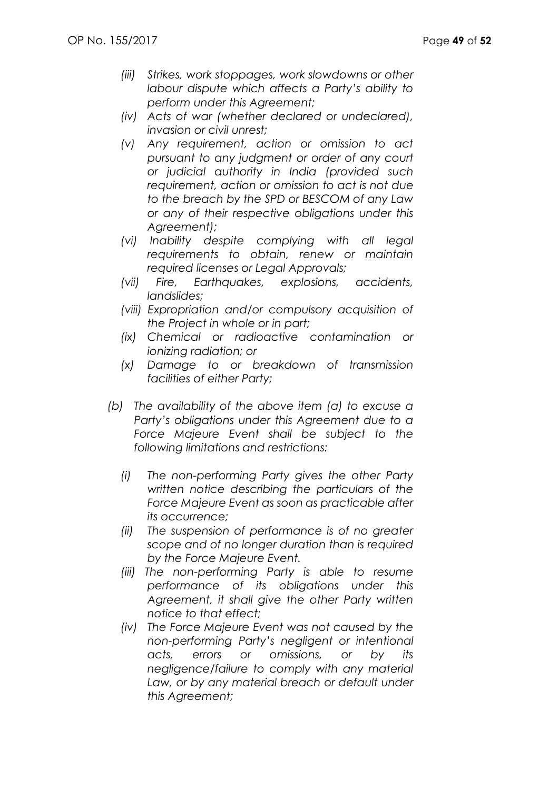- *(iii) Strikes, work stoppages, work slowdowns or other labour dispute which affects a Party's ability to perform under this Agreement;*
- *(iv) Acts of war (whether declared or undeclared), invasion or civil unrest;*
- *(v) Any requirement, action or omission to act pursuant to any judgment or order of any court or judicial authority in India (provided such requirement, action or omission to act is not due to the breach by the SPD or BESCOM of any Law or any of their respective obligations under this Agreement);*
- *(vi) Inability despite complying with all legal requirements to obtain, renew or maintain required licenses or Legal Approvals;*
- *(vii) Fire, Earthquakes, explosions, accidents, landslides;*
- *(viii) Expropriation and/or compulsory acquisition of the Project in whole or in part;*
- *(ix) Chemical or radioactive contamination or ionizing radiation; or*
- *(x) Damage to or breakdown of transmission facilities of either Party;*
- *(b) The availability of the above item (a) to excuse a Party's obligations under this Agreement due to a Force Majeure Event shall be subject to the following limitations and restrictions:*
	- *(i) The non-performing Party gives the other Party written notice describing the particulars of the Force Majeure Event as soon as practicable after its occurrence;*
	- *(ii) The suspension of performance is of no greater scope and of no longer duration than is required by the Force Majeure Event.*
	- *(iii) The non-performing Party is able to resume performance of its obligations under this Agreement, it shall give the other Party written notice to that effect;*
	- *(iv) The Force Majeure Event was not caused by the non-performing Party's negligent or intentional acts, errors or omissions, or by its negligence/failure to comply with any material*  Law, or by any material breach or default under *this Agreement;*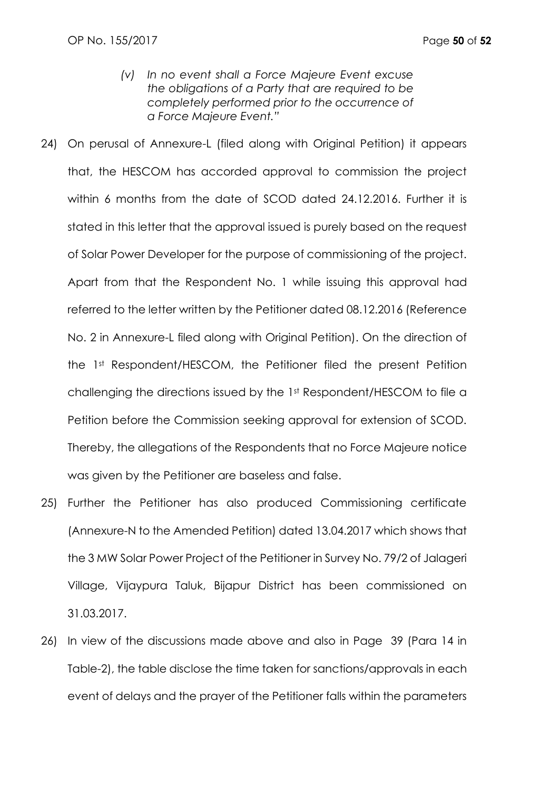- *(v) In no event shall a Force Majeure Event excuse the obligations of a Party that are required to be completely performed prior to the occurrence of a Force Majeure Event."*
- 24) On perusal of Annexure-L (filed along with Original Petition) it appears that, the HESCOM has accorded approval to commission the project within 6 months from the date of SCOD dated 24.12.2016. Further it is stated in this letter that the approval issued is purely based on the request of Solar Power Developer for the purpose of commissioning of the project. Apart from that the Respondent No. 1 while issuing this approval had referred to the letter written by the Petitioner dated 08.12.2016 (Reference No. 2 in Annexure-L filed along with Original Petition). On the direction of the 1st Respondent/HESCOM, the Petitioner filed the present Petition challenging the directions issued by the 1st Respondent/HESCOM to file a Petition before the Commission seeking approval for extension of SCOD. Thereby, the allegations of the Respondents that no Force Majeure notice was given by the Petitioner are baseless and false.
- 25) Further the Petitioner has also produced Commissioning certificate (Annexure-N to the Amended Petition) dated 13.04.2017 which shows that the 3 MW Solar Power Project of the Petitioner in Survey No. 79/2 of Jalageri Village, Vijaypura Taluk, Bijapur District has been commissioned on 31.03.2017.
- 26) In view of the discussions made above and also in Page 39 (Para 14 in Table-2), the table disclose the time taken for sanctions/approvals in each event of delays and the prayer of the Petitioner falls within the parameters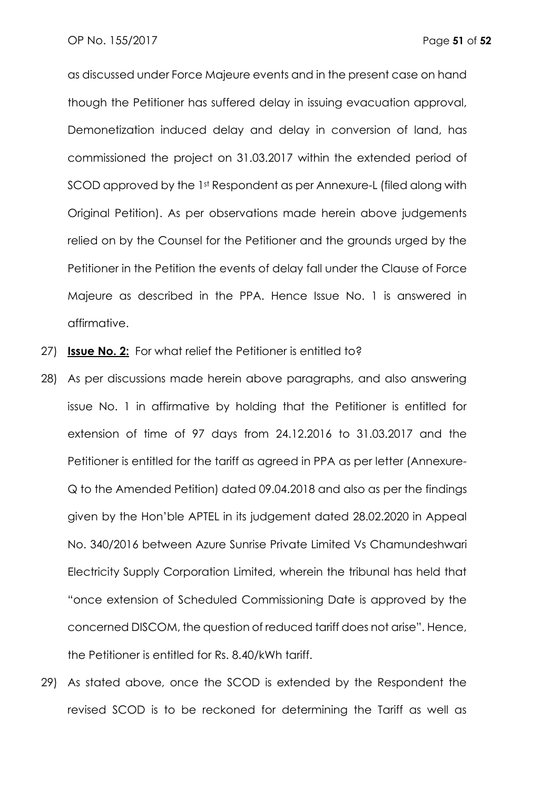as discussed under Force Majeure events and in the present case on hand though the Petitioner has suffered delay in issuing evacuation approval, Demonetization induced delay and delay in conversion of land, has commissioned the project on 31.03.2017 within the extended period of SCOD approved by the 1st Respondent as per Annexure-L (filed along with Original Petition). As per observations made herein above judgements relied on by the Counsel for the Petitioner and the grounds urged by the Petitioner in the Petition the events of delay fall under the Clause of Force Majeure as described in the PPA. Hence Issue No. 1 is answered in affirmative.

- 27) **Issue No. 2:** For what relief the Petitioner is entitled to?
- 28) As per discussions made herein above paragraphs, and also answering issue No. 1 in affirmative by holding that the Petitioner is entitled for extension of time of 97 days from 24.12.2016 to 31.03.2017 and the Petitioner is entitled for the tariff as agreed in PPA as per letter (Annexure-Q to the Amended Petition) dated 09.04.2018 and also as per the findings given by the Hon'ble APTEL in its judgement dated 28.02.2020 in Appeal No. 340/2016 between Azure Sunrise Private Limited Vs Chamundeshwari Electricity Supply Corporation Limited, wherein the tribunal has held that "once extension of Scheduled Commissioning Date is approved by the concerned DISCOM, the question of reduced tariff does not arise". Hence, the Petitioner is entitled for Rs. 8.40/kWh tariff.
- 29) As stated above, once the SCOD is extended by the Respondent the revised SCOD is to be reckoned for determining the Tariff as well as